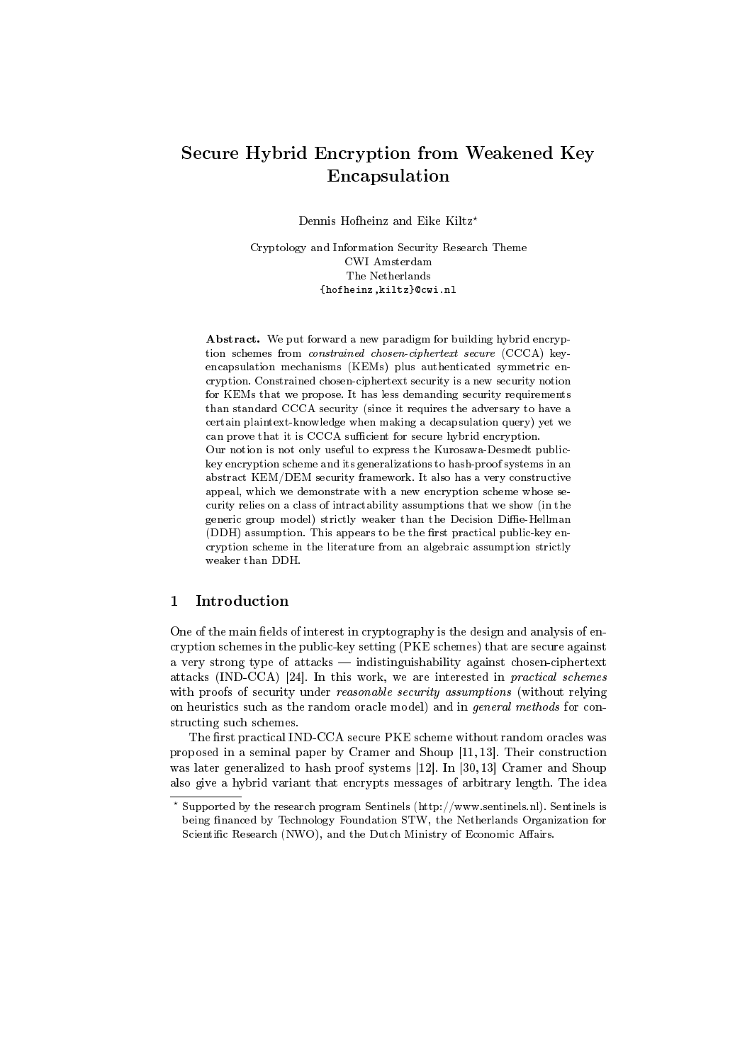# Secure Hybrid Encryption from Weakened Key Encapsulation

Dennis Hofheinz and Eike Kiltz\*

Cryptology and Information Security Research Theme CWI Amsterdam The Netherlands {hofheinz,kiltz}@cwi.nl

Abstract. We put forward a new paradigm for building hybrid encryption schemes from constrained chosen-ciphertext secure (CCCA) keyencapsulation mechanisms (KEMs) plus authenticated symmetric encryption. Constrained chosen-ciphertext security is a new security notion for KEMs that we propose. It has less demanding security requirements than standard CCCA security (since it requires the adversary to have a certain plaintext-knowledge when making a decapsulation query) yet we can prove that it is CCCA sufficient for secure hybrid encryption.

Our notion is not only useful to express the Kurosawa-Desmedt publickey encryption scheme and its generalizations to hash-proof systems in an abstract KEM/DEM security framework. It also has a very constructive appeal, which we demonstrate with a new encryption scheme whose security relies on a class of intractability assumptions that we show (in the generic group model) strictly weaker than the Decision Diffie-Hellman (DDH) assumption. This appears to be the first practical public-key encryption scheme in the literature from an algebraic assumption strictly weaker than DDH.

# 1 Introduction

One of the main fields of interest in cryptography is the design and analysis of encryption schemes in the public-key setting (PKE schemes) that are secure against a very strong type of attacks — indistinguishability against chosen-ciphertext attacks (IND-CCA) [24]. In this work, we are interested in practical schemes with proofs of security under *reasonable security assumptions* (without relying on heuristics such as the random oracle model) and in general methods for constructing such schemes.

The first practical IND-CCA secure PKE scheme without random oracles was proposed in a seminal paper by Cramer and Shoup [11, 13]. Their construction was later generalized to hash proof systems [12]. In [30, 13] Cramer and Shoup also give a hybrid variant that encrypts messages of arbitrary length. The idea

<sup>?</sup> Supported by the research program Sentinels (http://www.sentinels.nl). Sentinels is being financed by Technology Foundation STW, the Netherlands Organization for Scientific Research (NWO), and the Dutch Ministry of Economic Affairs.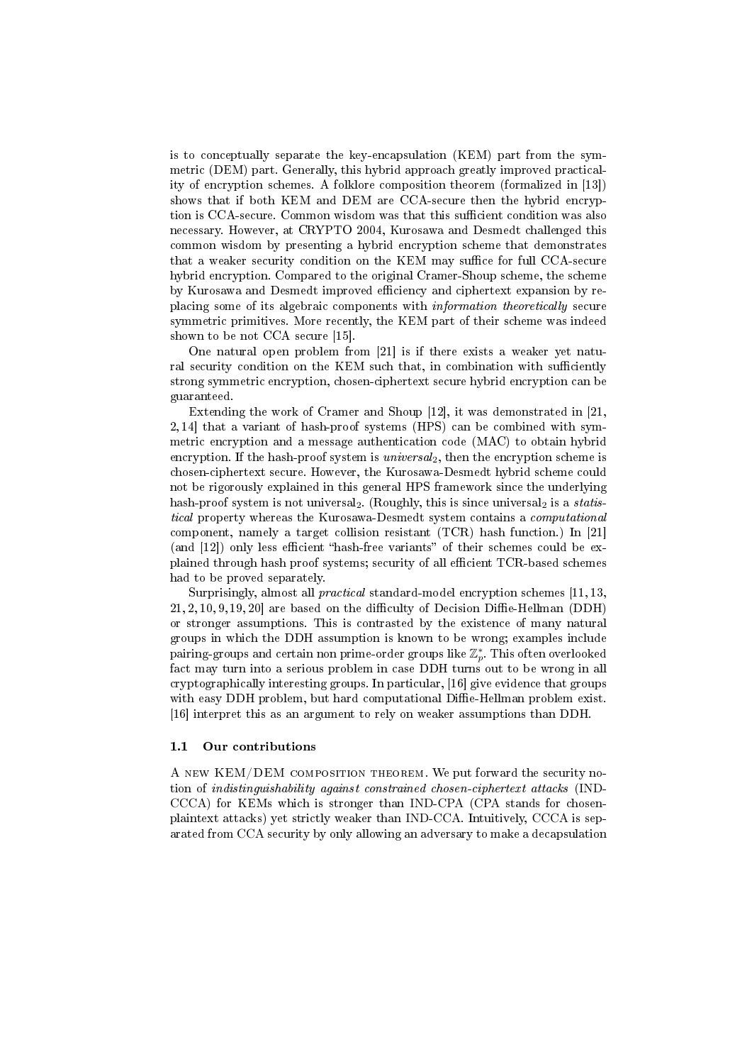is to conceptually separate the key-encapsulation (KEM) part from the symmetric (DEM) part. Generally, this hybrid approach greatly improved practicality of encryption schemes. A folklore composition theorem (formalized in [13]) shows that if both KEM and DEM are CCA-secure then the hybrid encryption is CCA-secure. Common wisdom was that this sufficient condition was also necessary. However, at CRYPTO 2004, Kurosawa and Desmedt challenged this common wisdom by presenting a hybrid encryption scheme that demonstrates that a weaker security condition on the KEM may suffice for full CCA-secure hybrid encryption. Compared to the original Cramer-Shoup scheme, the scheme by Kurosawa and Desmedt improved efficiency and ciphertext expansion by replacing some of its algebraic components with information theoretically secure symmetric primitives. More recently, the KEM part of their scheme was indeed shown to be not CCA secure [15].

One natural open problem from [21] is if there exists a weaker yet natural security condition on the KEM such that, in combination with sufficiently strong symmetric encryption, chosen-ciphertext secure hybrid encryption can be guaranteed.

Extending the work of Cramer and Shoup [12], it was demonstrated in [21, 2, 14] that a variant of hash-proof systems (HPS) can be combined with symmetric encryption and a message authentication code (MAC) to obtain hybrid encryption. If the hash-proof system is  $universal_2$ , then the encryption scheme is chosen-ciphertext secure. However, the Kurosawa-Desmedt hybrid scheme could not be rigorously explained in this general HPS framework since the underlying hash-proof system is not universal<sub>2</sub>. (Roughly, this is since universal<sub>2</sub> is a *statis*tical property whereas the Kurosawa-Desmedt system contains a computational component, namely a target collision resistant (TCR) hash function.) In [21]  $($ and  $[12]$ ) only less efficient "hash-free variants" of their schemes could be explained through hash proof systems; security of all efficient TCR-based schemes had to be proved separately.

Surprisingly, almost all practical standard-model encryption schemes [11, 13,  $21, 2, 10, 9, 19, 20$  are based on the difficulty of Decision Diffie-Hellman (DDH) or stronger assumptions. This is contrasted by the existence of many natural groups in which the DDH assumption is known to be wrong; examples include pairing-groups and certain non prime-order groups like  $\mathbb{Z}_p^*.$  This often overlooked fact may turn into a serious problem in case DDH turns out to be wrong in all cryptographically interesting groups. In particular, [16] give evidence that groups with easy DDH problem, but hard computational Diffie-Hellman problem exist. [16] interpret this as an argument to rely on weaker assumptions than DDH.

#### 1.1 Our contributions

A new KEM/DEM composition theorem. We put forward the security notion of indistinguishability against constrained chosen-ciphertext attacks (IND-CCCA) for KEMs which is stronger than IND-CPA (CPA stands for chosenplaintext attacks) yet strictly weaker than IND-CCA. Intuitively, CCCA is separated from CCA security by only allowing an adversary to make a decapsulation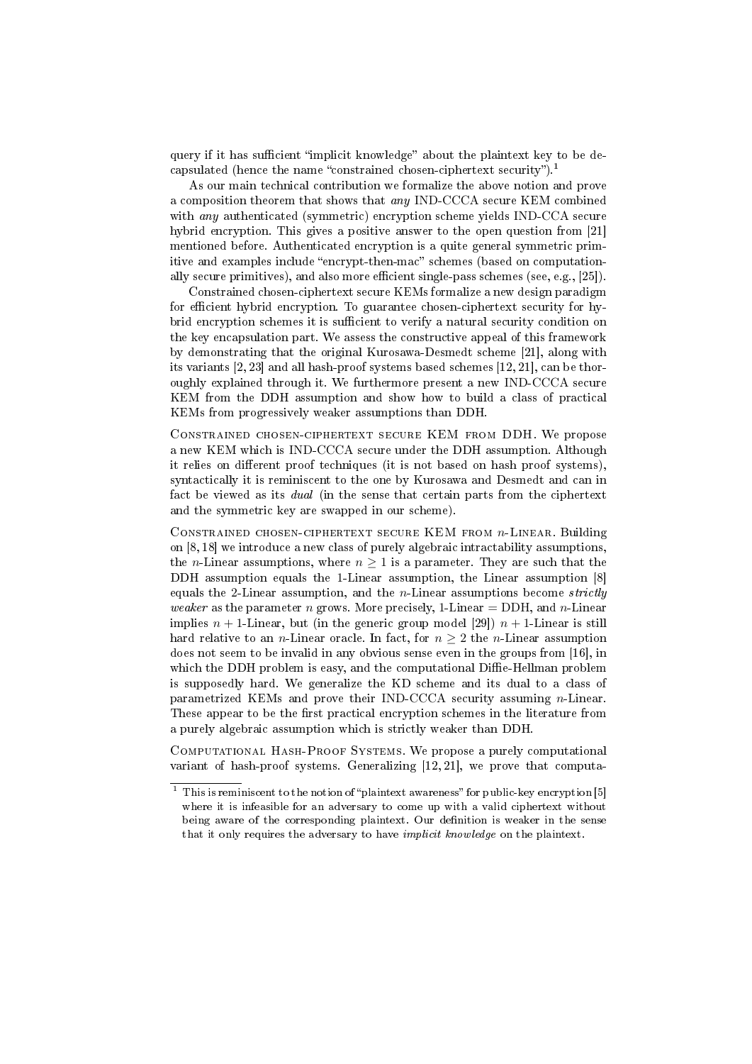query if it has sufficient "implicit knowledge" about the plaintext key to be decapsulated (hence the name "constrained chosen-ciphertext security").<sup>1</sup>

As our main technical contribution we formalize the above notion and prove a composition theorem that shows that any IND-CCCA secure KEM combined with *any* authenticated (symmetric) encryption scheme yields IND-CCA secure hybrid encryption. This gives a positive answer to the open question from [21] mentioned before. Authenticated encryption is a quite general symmetric primitive and examples include "encrypt-then-mac" schemes (based on computationally secure primitives), and also more efficient single-pass schemes (see, e.g.,  $[25]$ ).

Constrained chosen-ciphertext secure KEMs formalize a new design paradigm for efficient hybrid encryption. To guarantee chosen-ciphertext security for hybrid encryption schemes it is sufficient to verify a natural security condition on the key encapsulation part. We assess the constructive appeal of this framework by demonstrating that the original Kurosawa-Desmedt scheme [21], along with its variants [2, 23] and all hash-proof systems based schemes [12, 21], can be thoroughly explained through it. We furthermore present a new IND-CCCA secure KEM from the DDH assumption and show how to build a class of practical KEMs from progressively weaker assumptions than DDH.

Constrained chosen-ciphertext secure KEM from DDH. We propose a new KEM which is IND-CCCA secure under the DDH assumption. Although it relies on different proof techniques (it is not based on hash proof systems), syntactically it is reminiscent to the one by Kurosawa and Desmedt and can in fact be viewed as its dual (in the sense that certain parts from the ciphertext and the symmetric key are swapped in our scheme).

CONSTRAINED CHOSEN-CIPHERTEXT SECURE KEM FROM  $n$ -LINEAR. Building on [8, 18] we introduce a new class of purely algebraic intractability assumptions, the *n*-Linear assumptions, where  $n \geq 1$  is a parameter. They are such that the DDH assumption equals the 1-Linear assumption, the Linear assumption [8] equals the 2-Linear assumption, and the  $n$ -Linear assumptions become strictly weaker as the parameter n grows. More precisely, 1-Linear = DDH, and n-Linear implies  $n + 1$ -Linear, but (in the generic group model [29])  $n + 1$ -Linear is still hard relative to an *n*-Linear oracle. In fact, for  $n \geq 2$  the *n*-Linear assumption does not seem to be invalid in any obvious sense even in the groups from [16], in which the DDH problem is easy, and the computational Diffie-Hellman problem is supposedly hard. We generalize the KD scheme and its dual to a class of parametrized KEMs and prove their IND-CCCA security assuming n-Linear. These appear to be the first practical encryption schemes in the literature from a purely algebraic assumption which is strictly weaker than DDH.

Computational Hash-Proof Systems. We propose a purely computational variant of hash-proof systems. Generalizing [12, 21], we prove that computa-

 $1$  This is reminiscent to the notion of "plaintext awareness" for public-key encryption [5] where it is infeasible for an adversary to come up with a valid ciphertext without being aware of the corresponding plaintext. Our definition is weaker in the sense that it only requires the adversary to have implicit knowledge on the plaintext.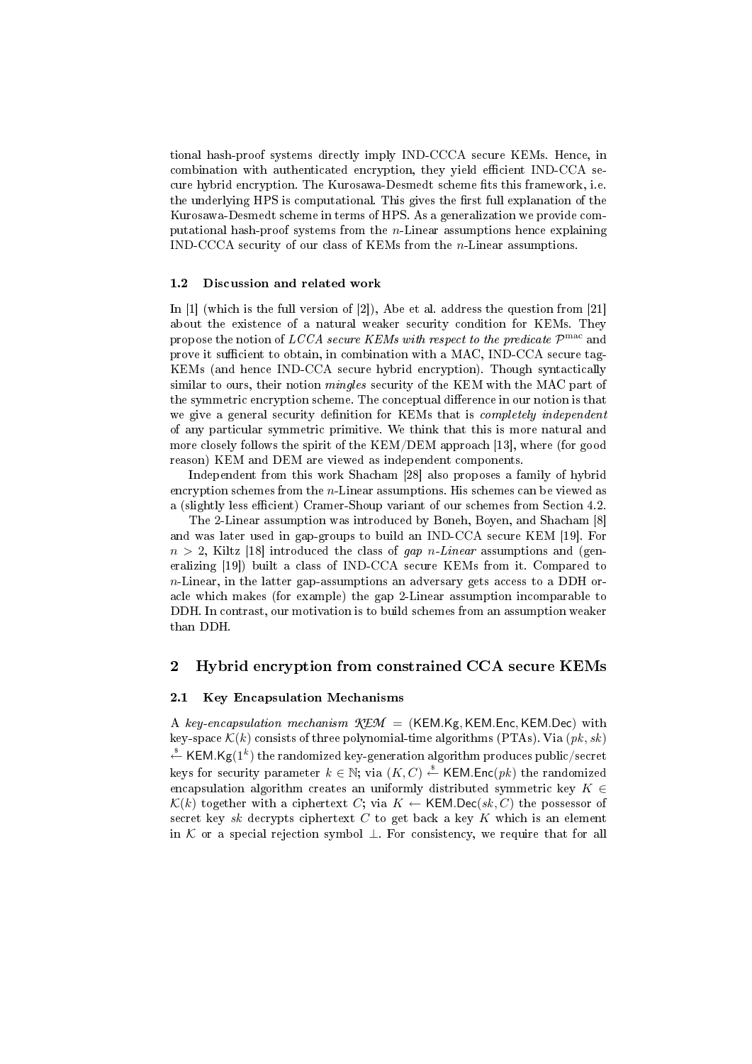tional hash-proof systems directly imply IND-CCCA secure KEMs. Hence, in combination with authenticated encryption, they yield efficient IND-CCA secure hybrid encryption. The Kurosawa-Desmedt scheme fits this framework, i.e. the underlying HPS is computational. This gives the first full explanation of the Kurosawa-Desmedt scheme in terms of HPS. As a generalization we provide computational hash-proof systems from the n-Linear assumptions hence explaining IND-CCCA security of our class of KEMs from the n-Linear assumptions.

#### 1.2 Discussion and related work

In [1] (which is the full version of [2]), Abe et al. address the question from [21] about the existence of a natural weaker security condition for KEMs. They propose the notion of  $\mathit{LCCA}$  secure KEMs with respect to the predicate  $\mathcal{P}^{\rm mac}$  and prove it sufficient to obtain, in combination with a MAC, IND-CCA secure tag-KEMs (and hence IND-CCA secure hybrid encryption). Though syntactically similar to ours, their notion mingles security of the KEM with the MAC part of the symmetric encryption scheme. The conceptual difference in our notion is that we give a general security definition for KEMs that is *completely independent* of any particular symmetric primitive. We think that this is more natural and more closely follows the spirit of the KEM/DEM approach [13], where (for good reason) KEM and DEM are viewed as independent components.

Independent from this work Shacham [28] also proposes a family of hybrid encryption schemes from the  $n$ -Linear assumptions. His schemes can be viewed as a (slightly less efficient) Cramer-Shoup variant of our schemes from Section 4.2.

The 2-Linear assumption was introduced by Boneh, Boyen, and Shacham [8] and was later used in gap-groups to build an IND-CCA secure KEM [19]. For  $n > 2$ , Kiltz [18] introduced the class of gap n-Linear assumptions and (generalizing [19]) built a class of IND-CCA secure KEMs from it. Compared to  $n$ -Linear, in the latter gap-assumptions an adversary gets access to a DDH oracle which makes (for example) the gap 2-Linear assumption incomparable to DDH. In contrast, our motivation is to build schemes from an assumption weaker than DDH.

# 2 Hybrid encryption from constrained CCA secure KEMs

#### 2.1 Key Encapsulation Mechanisms

A key-encapsulation mechanism  $KEM = (KEM.Kg, KEM.Enc, KEM.Dec)$  with key-space  $\mathcal{K}(k)$  consists of three polynomial-time algorithms (PTAs). Via  $(pk, sk)$  $\stackrel{\hspace{0.1em}\mathsf{\scriptscriptstyle\$}}{\leftarrow}$  KEM.Kg(1 $^k$ ) the randomized key-generation algorithm produces public/secret keys for security parameter  $k \in \mathbb{N}$ ; via  $(K, C) \stackrel{\hspace{0.1em}\mathsf{\scriptscriptstyle\$}}{\leftarrow}$  KEM.Enc $(pk)$  the randomized encapsulation algorithm creates an uniformly distributed symmetric key  $K \in$  $\mathcal{K}(k)$  together with a ciphertext C; via  $K \leftarrow \text{KEM.Dec}(sk, C)$  the possessor of secret key sk decrypts ciphertext  $C$  to get back a key  $K$  which is an element in K or a special rejection symbol  $\perp$ . For consistency, we require that for all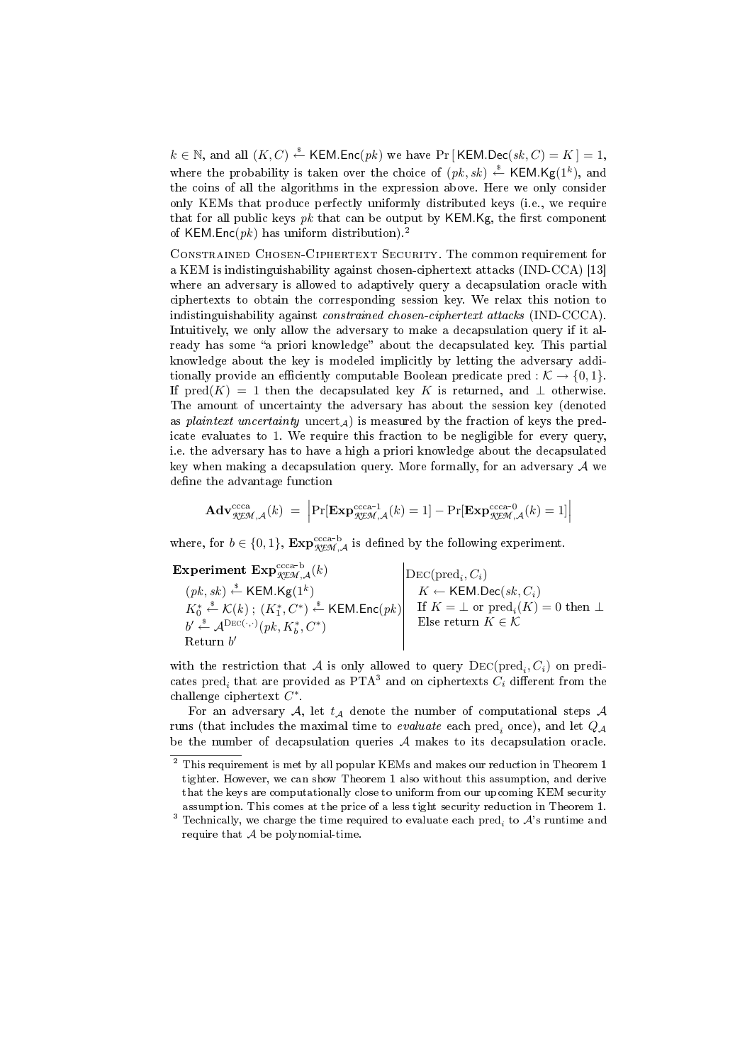$k \in \mathbb{N}$ , and all  $(K, C) \stackrel{\hspace{0.1em}\mathsf{\scriptscriptstyle\$}}{\leftarrow}$  KEM.Enc $(pk)$  we have Pr [KEM.Dec $(sk, C) = K$ ] = 1, where the probability is taken over the choice of  $(pk, sk) \stackrel{\$}{\leftarrow} \textsf{KEM.Kg}(1^k)$ , and the coins of all the algorithms in the expression above. Here we only consider only KEMs that produce perfectly uniformly distributed keys (i.e., we require that for all public keys  $pk$  that can be output by KEM.Kg, the first component of KEM.Enc( $pk$ ) has uniform distribution).<sup>2</sup>

Constrained Chosen-Ciphertext Security. The common requirement for a KEM is indistinguishability against chosen-ciphertext attacks (IND-CCA) [13] where an adversary is allowed to adaptively query a decapsulation oracle with ciphertexts to obtain the corresponding session key. We relax this notion to indistinguishability against constrained chosen-ciphertext attacks (IND-CCCA). Intuitively, we only allow the adversary to make a decapsulation query if it already has some "a priori knowledge" about the decapsulated key. This partial knowledge about the key is modeled implicitly by letting the adversary additionally provide an efficiently computable Boolean predicate pred :  $K \rightarrow \{0, 1\}$ . If pred(K) = 1 then the decapsulated key K is returned, and  $\perp$  otherwise. The amount of uncertainty the adversary has about the session key (denoted as plaintext uncertainty uncert<sub>A</sub>) is measured by the fraction of keys the predicate evaluates to 1. We require this fraction to be negligible for every query, i.e. the adversary has to have a high a priori knowledge about the decapsulated key when making a decapsulation query. More formally, for an adversary  $A$  we define the advantage function

$$
\mathbf{Adv}_{\mathcal{REM},\mathcal{A}}^{\text{ccca}}(k) = \left| \Pr[\mathbf{Exp}_{\mathcal{REM},\mathcal{A}}^{\text{ccca-1}}(k) = 1] - \Pr[\mathbf{Exp}_{\mathcal{REM},\mathcal{A}}^{\text{ccca-0}}(k) = 1] \right|
$$

where, for  $b \in \{0,1\}$ ,  $\mathbf{Exp}_{\mathcal{R}\mathcal{EM},\mathcal{A}}^{\text{ccca-b}}$  is defined by the following experiment.

 ${\bf Experiment ~Exp}^{\rm ccca-b}_{\cal XEM, A}(k)$  $(pk, sk) \stackrel{\$}{\leftarrow}$  KEM.Kg $(1^k)$  $K_0^* \stackrel{\$}{\leftarrow} \mathcal{K}(k)$  ;  $(K_1^*, C^*) \stackrel{\$}{\leftarrow}$  KEM.Enc $(pk)$  $b' \overset{\$}{\leftarrow} \mathcal{A}^{\text{DEC}(\cdot,\cdot)}(pk,K_b^*,C^*)$ Return  $b'$  $\mathrm{Dec}(\mathrm{pred}_i, C_i)$  $K \leftarrow \mathsf{KEM}.\mathsf{Dec}(sk, C_i)$ If  $K = \perp$  or  $\text{pred}_i(K) = 0$  then  $\perp$ Else return  $K \in \mathcal{K}$ 

with the restriction that A is only allowed to query  $\mathrm{Dec}(\mathrm{pred}_i, C_i)$  on predicates pred<sub>i</sub> that are provided as PTA<sup>3</sup> and on ciphertexts  $C_i$  different from the challenge ciphertext  $C^*$ .

For an adversary  $A$ , let  $t_A$  denote the number of computational steps  $A$ runs (that includes the maximal time to *evaluate* each pred<sub>i</sub> once), and let  $Q_A$ be the number of decapsulation queries  $A$  makes to its decapsulation oracle.

<sup>2</sup> This requirement is met by all popular KEMs and makes our reduction in Theorem 1 tighter. However, we can show Theorem 1 also without this assumption, and derive that the keys are computationally close to uniform from our upcoming KEM security assumption. This comes at the price of a less tight security reduction in Theorem 1.

<sup>&</sup>lt;sup>3</sup> Technically, we charge the time required to evaluate each pred<sub>i</sub> to  $\mathcal{A}$ 's runtime and require that  $A$  be polynomial-time.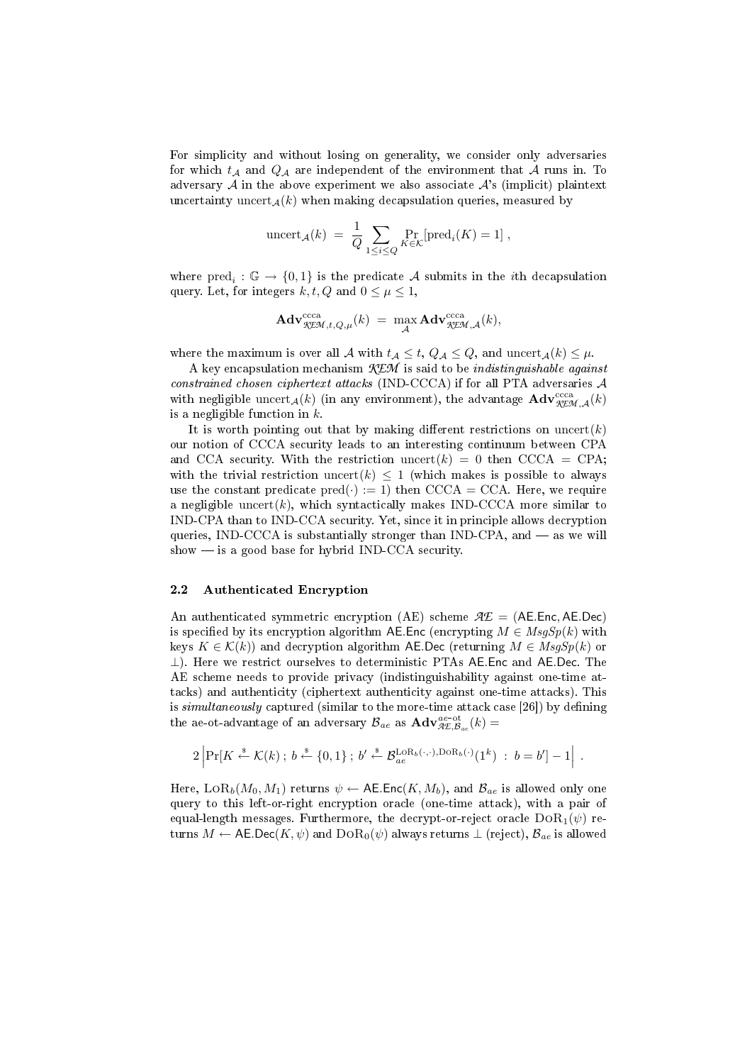For simplicity and without losing on generality, we consider only adversaries for which  $t_A$  and  $Q_A$  are independent of the environment that A runs in. To adversary  $A$  in the above experiment we also associate  $A$ 's (implicit) plaintext uncertainty uncert<sub> $A(k)$ </sub> when making decapsulation queries, measured by

uncert<sub>A</sub>(k) = 
$$
\frac{1}{Q} \sum_{1 \le i \le Q} \Pr_{K \in \mathcal{K}}[\text{pred}_i(K) = 1]
$$
,

where  $\text{pred}_i : \mathbb{G} \to \{0,1\}$  is the predicate A submits in the *i*th decapsulation query. Let, for integers  $k, t, Q$  and  $0 \leq \mu \leq 1$ ,

$$
\mathbf{Adv}_{\mathfrak{HEM},t,Q,\mu}^{\text{ccca}}(k) = \max_{\mathcal{A}} \mathbf{Adv}_{\mathfrak{HEM},\mathcal{A}}^{\text{ccca}}(k),
$$

where the maximum is over all A with  $t_A \leq t$ ,  $Q_A \leq Q$ , and uncert<sub>A</sub>(k)  $\leq \mu$ .

A key encapsulation mechanism *KEM* is said to be indistinguishable against constrained chosen ciphertext attacks (IND-CCCA) if for all PTA adversaries A with negligible  $\mathrm{uncert}_{\mathcal{A}}(k)$  (in any environment), the advantage  $\mathbf{Adv}_{\mathcal{R}\mathcal{EM},\mathcal{A}}^{\mathrm{ccca}}(k)$ is a negligible function in  $k$ .

It is worth pointing out that by making different restrictions on uncert $(k)$ our notion of CCCA security leads to an interesting continuum between CPA and CCA security. With the restriction uncert $(k) = 0$  then CCCA = CPA; with the trivial restriction uncert(k)  $\leq 1$  (which makes is possible to always use the constant predicate pred $(\cdot) := 1$ ) then CCCA = CCA. Here, we require a negligible uncert(k), which syntactically makes IND-CCCA more similar to IND-CPA than to IND-CCA security. Yet, since it in principle allows decryption queries, IND-CCCA is substantially stronger than IND-CPA, and  $-$  as we will show  $\equiv$  is a good base for hybrid IND-CCA security.

### 2.2 Authenticated Encryption

An authenticated symmetric encryption (AE) scheme *AE* = (AE.Enc,AE.Dec) is specified by its encryption algorithm AE.Enc (encrypting  $M \in MsgSp(k)$  with keys  $K \in \mathcal{K}(k)$  and decryption algorithm AE.Dec (returning  $M \in MsgSp(k)$  or ⊥). Here we restrict ourselves to deterministic PTAs AE.Enc and AE.Dec. The AE scheme needs to provide privacy (indistinguishability against one-time attacks) and authenticity (ciphertext authenticity against one-time attacks). This is simultaneously captured (similar to the more-time attack case [26]) by defining the ae-ot-advantage of an adversary  $\mathcal{B}_{ae}$  as  $\mathbf{Adv}_{\mathcal{H}\mathcal{B},\mathcal{B}_{ae}}^{ae\text{-ot}}(k)$ 

$$
2\left|\Pr[K \stackrel{\$}{\leftarrow} \mathcal{K}(k); b \stackrel{\$}{\leftarrow} \{0,1\}; b' \stackrel{\$}{\leftarrow} \mathcal{B}_{ae}^{\text{LoR}_b(\cdot,\cdot),\text{DoR}_b(\cdot)}(1^k) : b = b'] - 1\right|.
$$

Here,  $\text{LoR}_b(M_0, M_1)$  returns  $\psi \leftarrow \mathsf{AE}.\mathsf{Enc}(K, M_b)$ , and  $\mathcal{B}_{ae}$  is allowed only one query to this left-or-right encryption oracle (one-time attack), with a pair of equal-length messages. Furthermore, the decrypt-or-reject oracle  $DOR<sub>1</sub>(\psi)$  returns  $M \leftarrow \mathsf{AE}.\mathsf{Dec}(K,\psi)$  and  $\mathrm{DoR}_0(\psi)$  always returns  $\bot$  (reject),  $\mathcal{B}_{ae}$  is allowed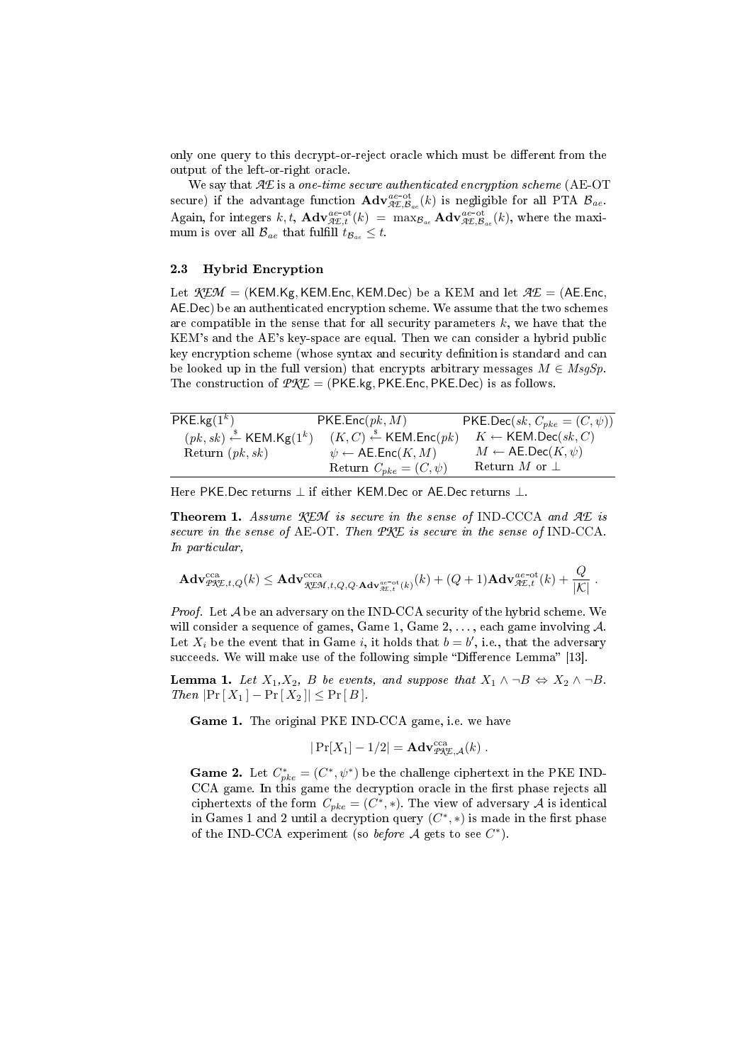only one query to this decrypt-or-reject oracle which must be different from the output of the left-or-right oracle.

We say that *AE* is a one-time secure authenticated encryption scheme (AE-OT secure) if the advantage function  $\mathbf{Adv}_{\mathcal{A}\mathcal{E},\mathcal{B}_{ae}}^{ae-ot}(k)$  is negligible for all PTA  $\mathcal{B}_{ae}$ . Again, for integers  $k, t$ ,  $\mathbf{Adv}_{\mathcal{A}\mathcal{E},t}^{ae-ot}(k) = \max_{\mathcal{B}_{ae}} \mathbf{Adv}_{\mathcal{A}\mathcal{E},\mathcal{B}_{ae}}^{ae-ot}(k)$ , where the maximum is over all  $\mathcal{B}_{ae}$  that fulfill  $t_{\mathcal{B}_{ae}} \leq t$ .

### 2.3 Hybrid Encryption

Let *KEM* = (KEM.Kg, KEM.Enc, KEM.Dec) be a KEM and let  $AE = (AEEnc,$ AE.Dec) be an authenticated encryption scheme. We assume that the two schemes are compatible in the sense that for all security parameters  $k$ , we have that the KEM's and the AE's key-space are equal. Then we can consider a hybrid public key encryption scheme (whose syntax and security definition is standard and can be looked up in the full version) that encrypts arbitrary messages  $M \in MsgSp$ . The construction of  $PKE = (PKE.kg, PKEEnc, PKEDec)$  is as follows.

| $PKE.kg(1^k)$                                       | PKE.Enc(pk, M)                                    | $PKE\cdot \text{Dec}(sk, C_{pke} = (C, \psi))$   |
|-----------------------------------------------------|---------------------------------------------------|--------------------------------------------------|
| $(pk, sk) \stackrel{\$}{\leftarrow}$ KEM.Kg $(1^k)$ | $(K, C) \stackrel{\$}{\leftarrow}$ KEM.Enc $(pk)$ | $K \leftarrow$ KEM.Dec(sk, C)                    |
| Return $(pk, sk)$                                   | $\psi \leftarrow \mathsf{AE}.\mathsf{Enc}(K,M)$   | $M \leftarrow \mathsf{AE}.\mathsf{Dec}(K, \psi)$ |
|                                                     | Return $C_{pke} = (C, \psi)$                      | Return M or $\perp$                              |

Here PKE.Dec returns ⊥ if either KEM.Dec or AE.Dec returns ⊥.

Theorem 1. Assume *KEM* is secure in the sense of IND-CCCA and *AE* is secure in the sense of AE-OT. Then *PKE* is secure in the sense of IND-CCA. In particular,

$$
\mathbf{Adv}_{\mathcal{P}\mathcal{X}\mathcal{E},t,Q}^{\text{cca}}(k) \leq \mathbf{Adv}_{\mathcal{X}\mathcal{E}\mathcal{M},t,Q,Q\cdot \mathbf{Adv}_{\mathcal{X}\mathcal{E},t}^{ae\text{-ot}}(k)}(k) + (Q+1)\mathbf{Adv}_{\mathcal{X}\mathcal{E},t}^{ae\text{-ot}}(k) + \frac{Q}{|\mathcal{K}|}.
$$

*Proof.* Let  $A$  be an adversary on the IND-CCA security of the hybrid scheme. We will consider a sequence of games, Game 1, Game  $2, \ldots$ , each game involving A. Let  $X_i$  be the event that in Game i, it holds that  $b = b'$ , i.e., that the adversary succeeds. We will make use of the following simple "Difference Lemma" [13].

**Lemma 1.** Let  $X_1, X_2, B$  be events, and suppose that  $X_1 \land \neg B \Leftrightarrow X_2 \land \neg B$ . Then  $|\Pr[X_1] - \Pr[X_2]| \leq \Pr[B]$ .

Game 1. The original PKE IND-CCA game, i.e. we have

$$
|\Pr[X_1] - 1/2| = \mathbf{Adv}_{\mathcal{PKE},\mathcal{A}}^{\text{cca}}(k) .
$$

**Game 2.** Let  $C_{pke}^* = (C^*, \psi^*)$  be the challenge ciphertext in the PKE IND-CCA game. In this game the decryption oracle in the first phase rejects all ciphertexts of the form  $C_{pke} = (C^*, *)$ . The view of adversary A is identical in Games 1 and 2 until a decryption query  $(C^*, *)$  is made in the first phase of the IND-CCA experiment (so *before*  $\mathcal A$  gets to see  $C^*$ ).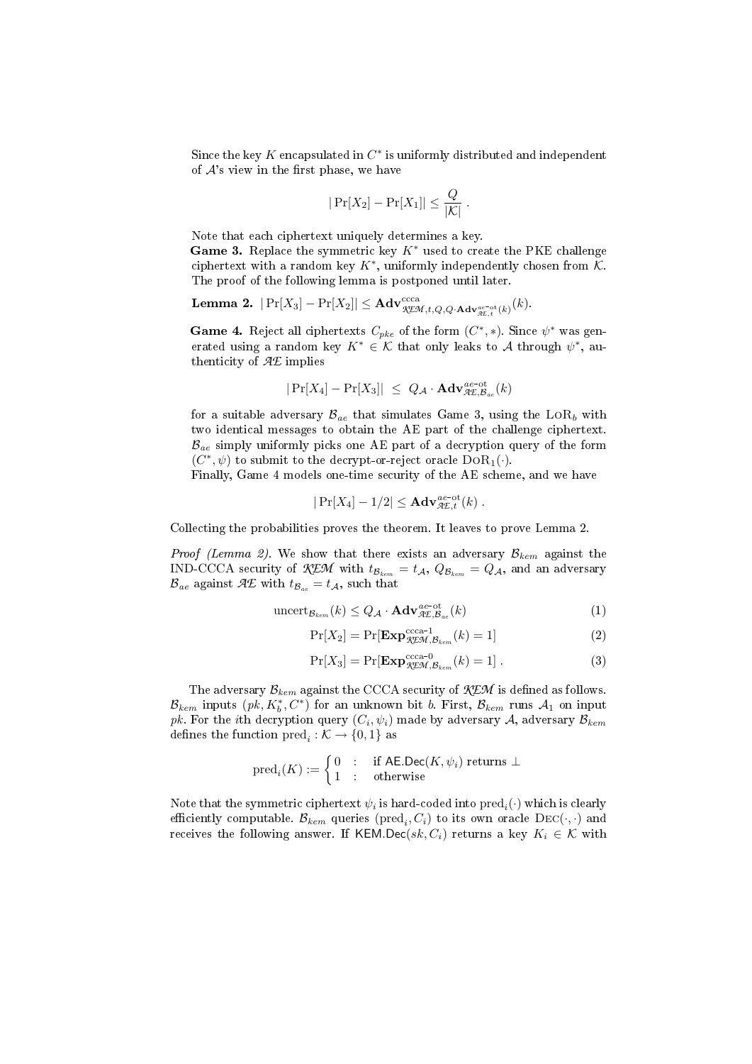Since the key  $K$  encapsulated in  $C^*$  is uniformly distributed and independent of  $A$ 's view in the first phase, we have

$$
|\Pr[X_2] - \Pr[X_1]| \leq \frac{Q}{|\mathcal{K}|}.
$$

Note that each ciphertext uniquely determines a key.

**Game 3.** Replace the symmetric key  $K^*$  used to create the PKE challenge ciphertext with a random key  $K^*$ , uniformly independently chosen from  $K$ . The proof of the following lemma is postponed until later.

 $\textbf{Lemma 2.}\ \ }|\Pr[X_3]-\Pr[X_2]|\leq \textbf{Adv}_{\mathfrak{XXX},t,Q,Q\cdot \textbf{Adv}_{\mathfrak{KL},t}^{ac\texttt{-ot}}(k)}^{ccc}(k).$ 

**Game 4.** Reject all ciphertexts  $C_{pke}$  of the form  $(C^*, *)$ . Since  $\psi^*$  was generated using a random key  $K^* \in \mathcal{K}$  that only leaks to A through  $\psi^*$ , authenticity of *AE* implies

$$
|\Pr[X_4]-\Pr[X_3]|\leq Q_{\mathcal{A}}\cdot\mathbf{Adv}_{\mathcal{A}\mathcal{E},\mathcal{B}_{ae}}^{ae\text{-}\mathrm{ot}}(k)
$$

for a suitable adversary  $\mathcal{B}_{ae}$  that simulates Game 3, using the LOR<sub>b</sub> with two identical messages to obtain the AE part of the challenge ciphertext.  $B_{ae}$  simply uniformly picks one AE part of a decryption query of the form  $(C^*, \psi)$  to submit to the decrypt-or-reject oracle  $\text{DoR}_1(\cdot)$ .

Finally, Game 4 models one-time security of the AE scheme, and we have

$$
|\Pr[X_4] - 1/2| \leq \mathbf{Adv}_{\mathcal{A}\mathcal{L},t}^{ae\text{-ot}}(k) .
$$

Collecting the probabilities proves the theorem. It leaves to prove Lemma 2.

*Proof (Lemma 2).* We show that there exists an adversary  $B_{kem}$  against the IND-CCCA security of *KEM* with  $t_{\mathcal{B}_{kem}} = t_{\mathcal{A}}, Q_{\mathcal{B}_{kem}} = Q_{\mathcal{A}},$  and an adversary  $B_{ae}$  against  $AE$  with  $t_{B_{ae}} = t_A$ , such that

uncert
$$
\mathcal{B}_{kem}(k) \leq Q_{\mathcal{A}} \cdot \mathbf{Adv}_{\mathcal{A}\mathcal{E}, \mathcal{B}_{ae}}^{ae\text{-ot}}(k)
$$
 (1)

$$
\Pr[X_2] = \Pr[\mathbf{Exp}_{\mathcal{R}\mathcal{LM}, \mathcal{B}_{\mathcal{km}}}^{\text{ccca-1}}(k) = 1] \tag{2}
$$

$$
\Pr[X_3] = \Pr[\mathbf{Exp}_{\mathcal{R}\subseteq\mathcal{M},\mathcal{B}_{\text{kem}}}(k) = 1]. \tag{3}
$$

The adversary  $\mathcal{B}_{kem}$  against the CCCA security of  $\mathcal{KEM}$  is defined as follows.  $\mathcal{B}_{kem}$  inputs  $(\mathit{pk}, K_b^*, C^*)$  for an unknown bit  $b.$  First,  $\mathcal{B}_{kem}$  runs  $\mathcal{A}_1$  on input  $pk.$  For the  $i$ th decryption query  $(C_i, \psi_i)$  made by adversary  $\mathcal{A},$  adversary  $\mathcal{B}_{kem}$ defines the function  $\text{pred}_i : \mathcal{K} \to \{0, 1\}$  as

$$
\text{pred}_i(K) := \left\{ \begin{matrix} 0 & : & \text{if } \mathsf{AE}.\mathsf{Dec}(K,\psi_i) \text{ returns } \bot \\ 1 & : & \text{otherwise} \end{matrix} \right.
$$

Note that the symmetric ciphertext  $\psi_i$  is hard-coded into  $\mathrm{pred}_i(\cdot)$  which is clearly efficiently computable.  $\mathcal{B}_{kem}$  queries (pred<sub>i</sub>,  $C_i$ ) to its own oracle  $\text{Dec}(\cdot, \cdot)$  and receives the following answer. If KEM.Dec(sk, C<sub>i</sub>) returns a key  $K_i \in \mathcal{K}$  with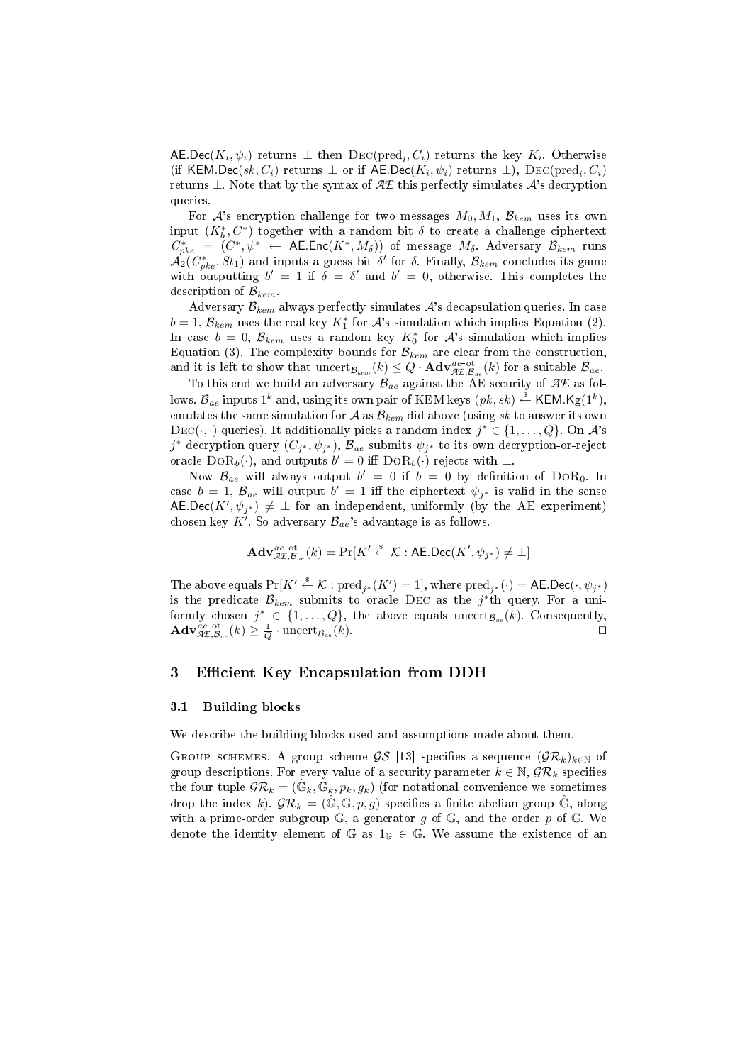$\mathsf{AE}.\mathsf{Dec}(K_i, \psi_i)$  returns  $\bot$  then  $\mathsf{Dec}(\mathsf{pred}_i, C_i)$  returns the key  $K_i$ . Otherwise (if KEM.Dec(sk, C<sub>i</sub>) returns  $\perp$  or if AE.Dec( $K_i, \psi_i$ ) returns  $\perp$ ), DEC(pred<sub>i</sub>, C<sub>i</sub>) returns ⊥. Note that by the syntax of *AE* this perfectly simulates A's decryption queries.

For A's encryption challenge for two messages  $M_0, M_1, B_{kem}$  uses its own input  $(K_b^*, C^*)$  together with a random bit  $\delta$  to create a challenge ciphertext  $C_{pke}^* = (C^*, \psi^* \leftarrow \text{AE}.\text{Enc}(K^*, M_\delta))$  of message  $M_\delta$ . Adversary  $\mathcal{B}_{kem}$  runs  $\mathcal{A}_2(\mathcal{C})$  $(p_{pke}^*, St_1)$  and inputs a guess bit  $\delta'$  for  $\delta$ . Finally,  $\mathcal{B}_{kem}$  concludes its game with outputting  $b' = 1$  if  $\delta = \delta'$  and  $b' = 0$ , otherwise. This completes the description of  $\mathcal{B}_{kem}$ .

Adversary  $\mathcal{B}_{kem}$  always perfectly simulates  $\mathcal{A}$ 's decapsulation queries. In case  $b = 1, \mathcal{B}_{kem}$  uses the real key  $K_1^*$  for  $\mathcal{A}$ 's simulation which implies Equation (2). In case  $b = 0, \mathcal{B}_{kem}$  uses a random key  $K_0^*$  for  $\mathcal{A}$ 's simulation which implies Equation (3). The complexity bounds for  $\mathcal{B}_{kem}$  are clear from the construction, and it is left to show that  $\text{uncert}_{\mathcal{B}_{kem}}(k) \leq Q \cdot \text{Adv}_{\mathcal{A}E, \mathcal{B}_{ae}}^{ae \text{-ot}}(k)$  for a suitable  $\mathcal{B}_{ae}$ .

To this end we build an adversary  $B_{ae}$  against the AE security of  $AE$  as follows.  ${\cal B}_{ae}$  inputs  $1^k$  and, using its own pair of KEM keys  $(\mathit{pk}, \mathit{sk}) \overset{\hspace{0.1em}\mathsf{\scriptscriptstyle\$}}{\leftarrow}$  KEM.Kg $(1^k),$ emulates the same simulation for A as  $B_{kem}$  did above (using sk to answer its own DEC(., ) queries). It additionally picks a random index  $j^* \in \{1, ..., Q\}$ . On A's  $j^*$  decryption query  $(C_{j^*}, \psi_{j^*}),$   ${\mathcal B}_{ae}$  submits  $\psi_{j^*}$  to its own decryption-or-reject oracle DOR<sub>b</sub>(·), and outputs  $b' = 0$  iff DOR<sub>b</sub>(·) rejects with  $\bot$ .

Now  $\mathcal{B}_{ae}$  will always output  $b' = 0$  if  $b = 0$  by definition of DoR<sub>0</sub>. In case  $b = 1$ ,  $\mathcal{B}_{ae}$  will output  $b' = 1$  iff the ciphertext  $\psi_{j^*}$  is valid in the sense  $\mathsf{AE}.\mathsf{Dec}(K', \psi_{j^*}) \neq \bot$  for an independent, uniformly (by the AE experiment) chosen key K'. So adversary  $B_{ae}$ 's advantage is as follows.

$$
\mathbf{Adv}_{\mathcal{A}\mathcal{E},\mathcal{B}_{ae}}^{ae\text{-ot}}(k) = \Pr[K' \stackrel{\$}{\leftarrow} \mathcal{K} : \mathsf{AE}.\mathsf{Dec}(K',\psi_{j^*}) \neq \bot]
$$

The above equals  $\Pr[K' \stackrel{\hspace{0.1em}\mathsf{\scriptscriptstyle\$}}{\leftarrow} \mathcal{K}: \mathsf{pred}_{j^*}(K') = 1],$  where  $\mathsf{pred}_{j^*}(\cdot) = \mathsf{AE}.\mathsf{Dec}(\cdot,\psi_{j^*})$ is the predicate  $\mathcal{B}_{kem}$  submits to oracle DEC as the j\*th query. For a uniformly chosen  $j^* \in \{1, ..., Q\}$ , the above equals uncert<sub> $\mathcal{B}_{ae}(k)$ </sub>. Consequently,<br>  $\mathbf{Adv}_{\mathcal{A}\mathcal{E},\mathcal{B}_{ae}}^{ae \text{ ot}}(k) \geq \frac{1}{Q} \cdot \text{uncert}_{\mathcal{B}_{ae}}(k)$ .

# 3 Efficient Key Encapsulation from DDH

### 3.1 Building blocks

We describe the building blocks used and assumptions made about them.

GROUP SCHEMES. A group scheme GS [13] specifies a sequence  $(\mathcal{GR}_k)_{k\in\mathbb{N}}$  of group descriptions. For every value of a security parameter  $k \in \mathbb{N}$ ,  $\mathcal{GR}_k$  specifies the four tuple  $\mathcal{GR}_k = (\hat{\mathbb{G}}_k, \mathbb{G}_k, p_k, g_k)$  (for notational convenience we sometimes drop the index k).  $\mathcal{GR}_k = (\hat{\mathbb{G}}, \mathbb{G}, p, g)$  specifies a finite abelian group  $\hat{\mathbb{G}}$ , along with a prime-order subgroup  $\mathbb{G}$ , a generator q of  $\mathbb{G}$ , and the order p of  $\mathbb{G}$ . We denote the identity element of  $\mathbb{G}$  as  $1_{\mathbb{G}} \in \mathbb{G}$ . We assume the existence of an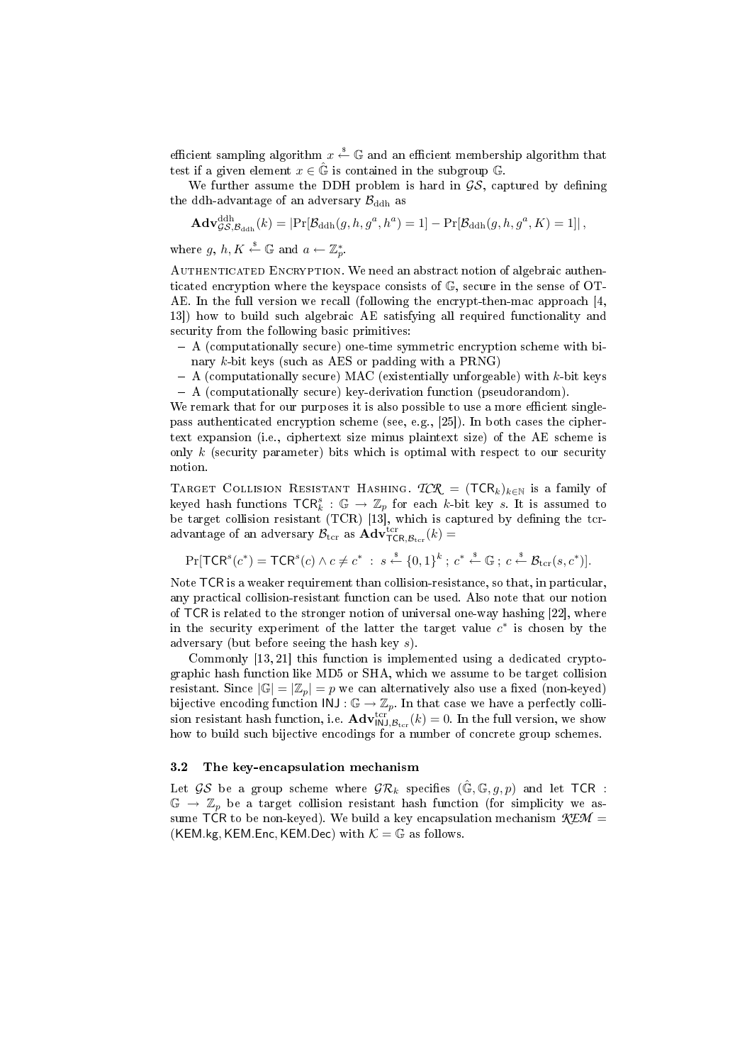efficient sampling algorithm  $x \stackrel{\hspace{0.1em}\mathsf{\scriptscriptstyle\$}}{\leftarrow} \mathbb{G}$  and an efficient membership algorithm that test if a given element  $x \in \mathbb{G}$  is contained in the subgroup  $\mathbb{G}$ .

We further assume the DDH problem is hard in  $\mathcal{GS}$ , captured by defining the ddh-advantage of an adversary  $B_{\text{ddh}}$  as

$$
\mathbf{Adv}_{\mathcal{GS},\mathcal{B}_{\mathrm{ddh}} }^{\mathrm{ddh}}(k) = \left| \Pr[\mathcal{B}_{\mathrm{ddh}}(g,h,g^a,h^a) = 1] - \Pr[\mathcal{B}_{\mathrm{ddh}}(g,h,g^a,K) = 1] \right|,
$$

where  $g, h, K \stackrel{\hspace{0.1em}\mathsf{\scriptscriptstyle\$}}{\leftarrow} \mathbb{G}$  and  $a \leftarrow \mathbb{Z}_p^*$ .

AUTHENTICATED ENCRYPTION. We need an abstract notion of algebraic authenticated encryption where the keyspace consists of G, secure in the sense of OT-AE. In the full version we recall (following the encrypt-then-mac approach [4, 13]) how to build such algebraic AE satisfying all required functionality and security from the following basic primitives:

 $-$  A (computationally secure) one-time symmetric encryption scheme with binary  $k$ -bit keys (such as AES or padding with a PRNG)

 $-$  A (computationally secure) MAC (existentially unforgeable) with  $k$ -bit keys

A (computationally secure) key-derivation function (pseudorandom).

We remark that for our purposes it is also possible to use a more efficient singlepass authenticated encryption scheme (see, e.g., [25]). In both cases the ciphertext expansion (i.e., ciphertext size minus plaintext size) of the AE scheme is only  $k$  (security parameter) bits which is optimal with respect to our security notion.

TARGET COLLISION RESISTANT HASHING.  $TCR = (TCR_k)_{k \in \mathbb{N}}$  is a family of keyed hash functions  ${\sf TCR}_k^s$  :  $\mathbb{G} \to \mathbb{Z}_p$  for each k-bit key s. It is assumed to be target collision resistant (TCR)  $[13]$ , which is captured by defining the tcradvantage of an adversary  $\mathcal{B}_{\text{tcr}}$  as  $\mathbf{Adv}_{\mathsf{TCR},\mathcal{B}_{\text{tcr}}}^{\text{tcr}}(k) =$ 

$$
\Pr[\mathsf{TCR}^s(c^*) = \mathsf{TCR}^s(c) \land c \neq c^* \; : \; s \stackrel{\text{s}}{\leftarrow} \{0,1\}^k \; : \; c^* \stackrel{\text{s}}{\leftarrow} \mathbb{G} \; : \; c \stackrel{\text{s}}{\leftarrow} \mathcal{B}_{\text{tcr}}(s,c^*)].
$$

Note TCR is a weaker requirement than collision-resistance, so that, in particular, any practical collision-resistant function can be used. Also note that our notion of TCR is related to the stronger notion of universal one-way hashing [22], where in the security experiment of the latter the target value  $c^*$  is chosen by the adversary (but before seeing the hash key s).

Commonly [13, 21] this function is implemented using a dedicated cryptographic hash function like MD5 or SHA, which we assume to be target collision resistant. Since  $|\mathbb{G}| = |\mathbb{Z}_p| = p$  we can alternatively also use a fixed (non-keyed) bijective encoding function  $\mathsf{INJ} : \mathbb{G} \to \mathbb{Z}_p$ . In that case we have a perfectly collision resistant hash function, i.e.  $\text{Adv}_{\text{INJ},\mathcal{B}_{\text{ter}}}(k) = 0$ . In the full version, we show how to build such bijective encodings for a number of concrete group schemes.

### 3.2 The key-encapsulation mechanism

Let GS be a group scheme where  $\mathcal{GR}_k$  specifies  $(\hat{\mathbb{G}}, \mathbb{G}, g, p)$  and let TCR :  $\mathbb{G} \to \mathbb{Z}_p$  be a target collision resistant hash function (for simplicity we assume TCR to be non-keyed). We build a key encapsulation mechanism  $KEM =$ (KEM.kg, KEM.Enc, KEM.Dec) with  $K = \mathbb{G}$  as follows.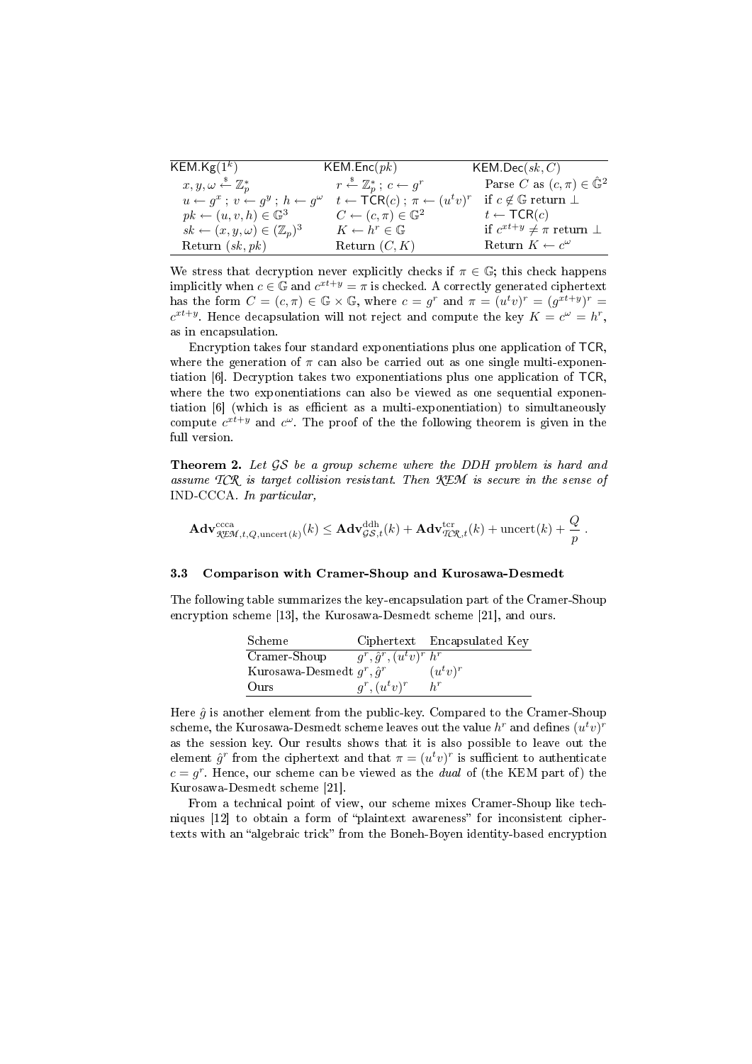| $KEM.Kg(1^k)$                                                                                    | KEMEnc(pk)                                                        | KEM.Dec(sk, C)                               |
|--------------------------------------------------------------------------------------------------|-------------------------------------------------------------------|----------------------------------------------|
| $x, y, \omega \stackrel{\hspace{0.1em}\mathsf{\scriptscriptstyle\$}}{\leftarrow} \mathbb{Z}_p^*$ | $r \stackrel{\$}{\leftarrow} \mathbb{Z}_n^*$ ; $c \leftarrow g^r$ | Parse C as $(c, \pi) \in \hat{\mathbb{G}}^2$ |
| $u \leftarrow q^x$ ; $v \leftarrow q^y$ ; $h \leftarrow q^{\omega}$                              | $t \leftarrow \mathsf{TCR}(c)$ ; $\pi \leftarrow (u^t v)^r$       | if $c \notin \mathbb{G}$ return $\perp$      |
| $pk \leftarrow (u, v, h) \in \mathbb{G}^{3}$                                                     | $C \leftarrow (c, \pi) \in \mathbb{G}^2$                          | $t \leftarrow \mathsf{TCR}(c)$               |
| $sk \leftarrow (x, y, \omega) \in (\mathbb{Z}_p)^3$                                              | $K \leftarrow h^r \in \mathbb{G}$                                 | if $c^{xt+y} \neq \pi$ return $\perp$        |
| Return $(sk, pk)$                                                                                | Return $(C, K)$                                                   | Return $K \leftarrow c^{\omega}$             |

We stress that decryption never explicitly checks if  $\pi \in \mathbb{G}$ ; this check happens implicitly when  $c \in \mathbb{G}$  and  $c^{xt+y} = \pi$  is checked. A correctly generated ciphertext has the form  $C = (c, \pi) \in \mathbb{G} \times \mathbb{G}$ , where  $c = g^r$  and  $\pi = (u^t v)^r = (g^{xt+y})^r =$  $c^{xt+y}$ . Hence decapsulation will not reject and compute the key  $K = c^{\omega} = h^r$ , as in encapsulation.

Encryption takes four standard exponentiations plus one application of TCR, where the generation of  $\pi$  can also be carried out as one single multi-exponentiation [6]. Decryption takes two exponentiations plus one application of TCR, where the two exponentiations can also be viewed as one sequential exponentiation  $[6]$  (which is as efficient as a multi-exponentiation) to simultaneously compute  $c^{xt+y}$  and  $c^{\omega}$ . The proof of the the following theorem is given in the full version.

**Theorem 2.** Let GS be a group scheme where the DDH problem is hard and assume *TCR* is target collision resistant. Then *KEM* is secure in the sense of IND-CCCA. In particular,

$$
\mathbf{Adv}_{\mathfrak{XXX},t,Q,\mathrm{uncert}(k)}^{\mathrm{ccca}}(k) \leq \mathbf{Adv}_{\mathcal{GS},t}^{\mathrm{ddh}}(k) + \mathbf{Adv}_{\mathcal{TCR},t}^{\mathrm{tor}}(k) + \mathrm{uncert}(k) + \frac{Q}{p}.
$$

### 3.3 Comparison with Cramer-Shoup and Kurosawa-Desmedt

The following table summarizes the key-encapsulation part of the Cramer-Shoup encryption scheme [13], the Kurosawa-Desmedt scheme [21], and ours.

| Scheme                                                 |                 | Ciphertext Encapsulated Key |  |
|--------------------------------------------------------|-----------------|-----------------------------|--|
| Cramer-Shoup $g^r, \hat{g}^r, (u^t\overline{v})^r h^r$ |                 |                             |  |
| Kurosawa-Desmedt $g^r, \hat{g}^r$                      |                 | $(u^tv)^r$                  |  |
| Ours                                                   | $q^r, (u^tv)^r$ | $h^r$                       |  |

Here  $\hat{q}$  is another element from the public-key. Compared to the Cramer-Shoup scheme, the Kurosawa-Desmedt scheme leaves out the value  $h^r$  and defines  $(u^tv)^r$ as the session key. Our results shows that it is also possible to leave out the element  $\hat{g}^r$  from the ciphertext and that  $\pi = (u^t v)^r$  is sufficient to authenticate  $c = g<sup>r</sup>$ . Hence, our scheme can be viewed as the *dual* of (the KEM part of) the Kurosawa-Desmedt scheme [21].

From a technical point of view, our scheme mixes Cramer-Shoup like techniques  $[12]$  to obtain a form of "plaintext awareness" for inconsistent ciphertexts with an "algebraic trick" from the Boneh-Boyen identity-based encryption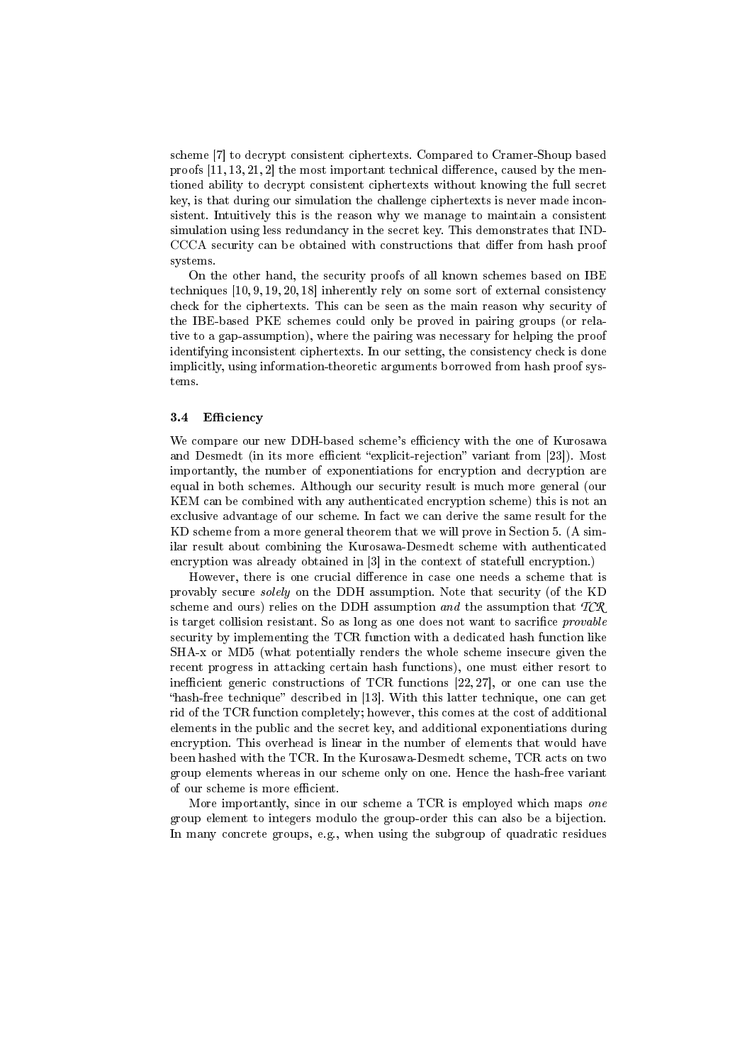scheme [7] to decrypt consistent ciphertexts. Compared to Cramer-Shoup based proofs  $[11, 13, 21, 2]$  the most important technical difference, caused by the mentioned ability to decrypt consistent ciphertexts without knowing the full secret key, is that during our simulation the challenge ciphertexts is never made inconsistent. Intuitively this is the reason why we manage to maintain a consistent simulation using less redundancy in the secret key. This demonstrates that IND-CCCA security can be obtained with constructions that differ from hash proof systems.

On the other hand, the security proofs of all known schemes based on IBE techniques [10, 9, 19, 20, 18] inherently rely on some sort of external consistency check for the ciphertexts. This can be seen as the main reason why security of the IBE-based PKE schemes could only be proved in pairing groups (or relative to a gap-assumption), where the pairing was necessary for helping the proof identifying inconsistent ciphertexts. In our setting, the consistency check is done implicitly, using information-theoretic arguments borrowed from hash proof systems.

#### 3.4 Efficiency

We compare our new DDH-based scheme's efficiency with the one of Kurosawa and Desmedt (in its more efficient "explicit-rejection" variant from  $[23]$ ). Most importantly, the number of exponentiations for encryption and decryption are equal in both schemes. Although our security result is much more general (our KEM can be combined with any authenticated encryption scheme) this is not an exclusive advantage of our scheme. In fact we can derive the same result for the KD scheme from a more general theorem that we will prove in Section 5. (A similar result about combining the Kurosawa-Desmedt scheme with authenticated encryption was already obtained in [3] in the context of statefull encryption.)

However, there is one crucial difference in case one needs a scheme that is provably secure solely on the DDH assumption. Note that security (of the KD scheme and ours) relies on the DDH assumption and the assumption that *TCR* is target collision resistant. So as long as one does not want to sacrifice provable security by implementing the TCR function with a dedicated hash function like SHA-x or MD5 (what potentially renders the whole scheme insecure given the recent progress in attacking certain hash functions), one must either resort to inefficient generic constructions of TCR functions  $[22, 27]$ , or one can use the "hash-free technique" described in  $[13]$ . With this latter technique, one can get rid of the TCR function completely; however, this comes at the cost of additional elements in the public and the secret key, and additional exponentiations during encryption. This overhead is linear in the number of elements that would have been hashed with the TCR. In the Kurosawa-Desmedt scheme, TCR acts on two group elements whereas in our scheme only on one. Hence the hash-free variant of our scheme is more efficient.

More importantly, since in our scheme a TCR is employed which maps one group element to integers modulo the group-order this can also be a bijection. In many concrete groups, e.g., when using the subgroup of quadratic residues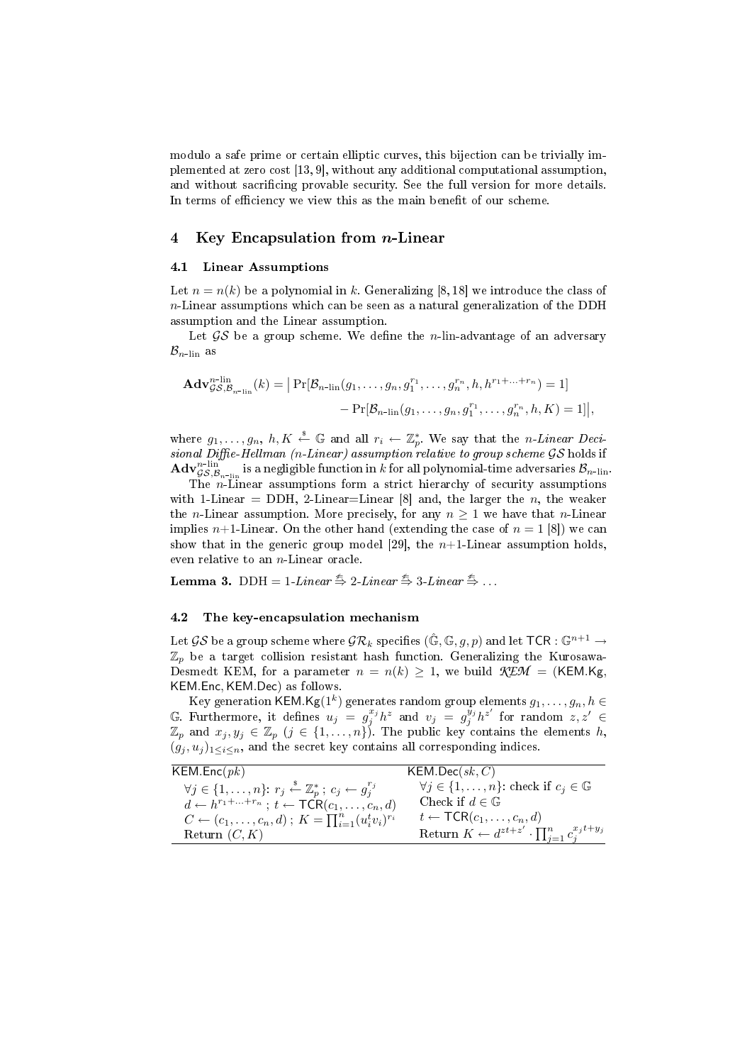modulo a safe prime or certain elliptic curves, this bijection can be trivially implemented at zero cost [13, 9], without any additional computational assumption, and without sacrificing provable security. See the full version for more details. In terms of efficiency we view this as the main benefit of our scheme.

# 4 Key Encapsulation from n-Linear

# 4.1 Linear Assumptions

Let  $n = n(k)$  be a polynomial in k. Generalizing [8,18] we introduce the class of  $n$ -Linear assumptions which can be seen as a natural generalization of the DDH assumption and the Linear assumption.

Let  $\mathcal{G}\mathcal{S}$  be a group scheme. We define the *n*-lin-advantage of an adversary  $B_{n-\text{lin}}$  as

$$
\mathbf{Adv}_{\mathcal{GS},\mathcal{B}_{n-1in}}^{n-1in}(k) = \left| \Pr[\mathcal{B}_{n-1in}(g_1,\ldots,g_n,g_1^{r_1},\ldots,g_n^{r_n},h,h^{r_1+\ldots+r_n})=1] - \Pr[\mathcal{B}_{n-1in}(g_1,\ldots,g_n,g_1^{r_1},\ldots,g_n^{r_n},h,K)=1] \right|,
$$

where  $g_1,\ldots,g_n, \ h,K$   $\stackrel{\hspace{0.1em}\mathsf{\scriptscriptstyle\$}}{\leftarrow}$  G and all  $r_i\leftarrow {\mathbb Z}_p^*.$  We say that the  $n\text{-}Linear\ Deci\text{-}$ sional Diffie-Hellman (n-Linear) assumption relative to group scheme  $\mathcal{GS}$  holds if  $\mathbf{Adv}_{GS,B_{n-\underline{1}\underline{i}\underline{n}}}^{n-\underline{1}\underline{i}\underline{n}}$  is a negligible function in k for all polynomial-time adversaries  $B_{n-\underline{1}\underline{i}\underline{n}}$ 

The  $n$ -Linear assumptions form a strict hierarchy of security assumptions with 1-Linear = DDH, 2-Linear=Linear [8] and, the larger the n, the weaker the *n*-Linear assumption. More precisely, for any  $n \geq 1$  we have that *n*-Linear implies  $n+1$ -Linear. On the other hand (extending the case of  $n = 1$  [8]) we can show that in the generic group model [29], the  $n+1$ -Linear assumption holds, even relative to an n-Linear oracle.

**Lemma 3.** DDH = 1-Linear  $\stackrel{\neq}{\Rightarrow}$  2-Linear  $\stackrel{\neq}{\Rightarrow}$  3-Linear  $\stackrel{\neq}{\Rightarrow}$ ...

# 4.2 The key-encapsulation mechanism

Let  $\mathcal{GS}$  be a group scheme where  $\mathcal{GR}_k$  specifies  $(\hat{\mathbb{G}}, \mathbb{G}, g, p)$  and let  $\mathsf{TCR} : \mathbb{G}^{n+1} \to$  $\mathbb{Z}_p$  be a target collision resistant hash function. Generalizing the Kurosawa-Desmedt KEM, for a parameter  $n = n(k) \geq 1$ , we build  $\mathcal{HEM} = (KEM.Kg,$ KEM.Enc, KEM.Dec) as follows.

Key generation <code>KEM.Kg(1 $^k$ )</code> generates random group elements  $g_1,\ldots,g_n,h$   $\in$ G. Furthermore, it defines  $u_j = g_j^{x_j} h^z$  and  $v_j = g_j^{y_j} h^{z'}$  for random  $z, z' \in$  $\mathbb{Z}_p$  and  $x_j, y_j \in \mathbb{Z}_p$   $(j \in \{1, \ldots, n\})$ . The public key contains the elements h,  $(g_i, u_j)_{1 \leq i \leq n}$ , and the secret key contains all corresponding indices.

| $\mathsf{KEM}.\mathsf{Enc}(\mathit{pk})$                                                                      | KEM.Dec(sk, C)                                                          |
|---------------------------------------------------------------------------------------------------------------|-------------------------------------------------------------------------|
| $\forall j \in \{1, \ldots, n\}$ : $r_j \stackrel{s}{\leftarrow} \mathbb{Z}_p^*$ ; $c_j \leftarrow g_j^{r_j}$ | $\forall j \in \{1, \ldots, n\}$ : check if $c_j \in \mathbb{G}$        |
| $d \leftarrow h^{r_1 + \dots + r_n}$ ; $t \leftarrow \text{TCR}(c_1, \dots, c_n, d)$                          | Check if $d \in \mathbb{G}$                                             |
| $C \leftarrow (c_1, \ldots, c_n, d)$ ; $K = \prod_{i=1}^n (u_i^t v_i)^{r_i}$                                  | $t \leftarrow \mathsf{TCR}(c_1, \ldots, c_n, d)$                        |
| Return $(C, K)$                                                                                               | Return $K \leftarrow d^{zt+z'} \cdot \prod_{i=1}^{n} c_i^{x_j t + y_j}$ |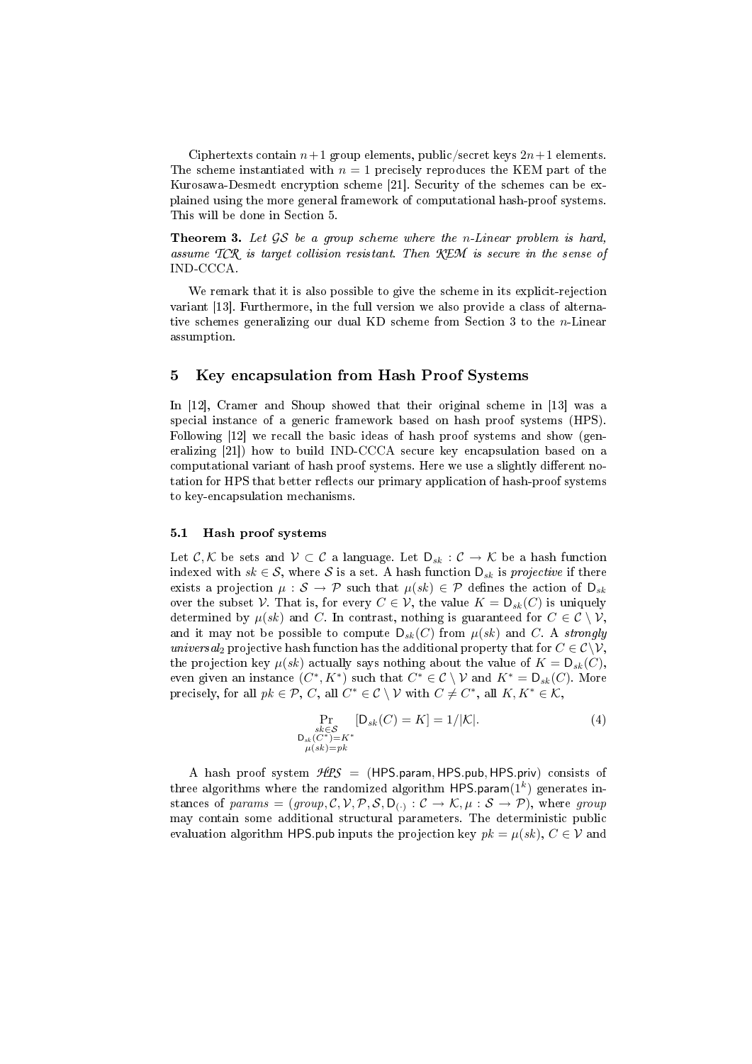Ciphertexts contain  $n+1$  group elements, public/secret keys  $2n+1$  elements. The scheme instantiated with  $n = 1$  precisely reproduces the KEM part of the Kurosawa-Desmedt encryption scheme [21]. Security of the schemes can be explained using the more general framework of computational hash-proof systems. This will be done in Section 5.

Theorem 3. Let GS be a group scheme where the n-Linear problem is hard, assume *TCR* is target collision resistant. Then *KEM* is secure in the sense of IND-CCCA.

We remark that it is also possible to give the scheme in its explicit-rejection variant [13]. Furthermore, in the full version we also provide a class of alternative schemes generalizing our dual KD scheme from Section 3 to the n-Linear assumption.

## 5 Key encapsulation from Hash Proof Systems

In [12], Cramer and Shoup showed that their original scheme in [13] was a special instance of a generic framework based on hash proof systems (HPS). Following [12] we recall the basic ideas of hash proof systems and show (generalizing [21]) how to build IND-CCCA secure key encapsulation based on a computational variant of hash proof systems. Here we use a slightly different notation for HPS that better reflects our primary application of hash-proof systems to key-encapsulation mechanisms.

# 5.1 Hash proof systems

Let  $\mathcal{C}, \mathcal{K}$  be sets and  $\mathcal{V} \subset \mathcal{C}$  a language. Let  $D_{sk} : \mathcal{C} \to \mathcal{K}$  be a hash function indexed with  $sk \in \mathcal{S}$ , where  $\mathcal{S}$  is a set. A hash function  $D_{sk}$  is projective if there exists a projection  $\mu : \mathcal{S} \to \mathcal{P}$  such that  $\mu(sk) \in \mathcal{P}$  defines the action of  $D_{sk}$ over the subset V. That is, for every  $C \in V$ , the value  $K = D_{sk}(C)$  is uniquely determined by  $\mu(sk)$  and C. In contrast, nothing is guaranteed for  $C \in \mathcal{C} \setminus \mathcal{V}$ . and it may not be possible to compute  $D_{sk}(C)$  from  $\mu(sk)$  and C. A strongly universal<sub>2</sub> projective hash function has the additional property that for  $C \in \mathcal{C} \backslash \mathcal{V}$ . the projection key  $\mu(sk)$  actually says nothing about the value of  $K = D_{sk}(C)$ , even given an instance  $(C^*, K^*)$  such that  $C^* \in \mathcal{C} \setminus \mathcal{V}$  and  $K^* = \mathsf{D}_{sk}(C)$ . More precisely, for all  $pk \in \mathcal{P}$ , C, all  $C^* \in \mathcal{C} \setminus \mathcal{V}$  with  $C \neq C^*$ , all  $K, K^* \in \mathcal{K}$ ,

$$
\Pr_{\substack{s,k \in \mathcal{S} \\ \mathsf{D}_{sk}(C^*)=K^* \\ \mu(st)=pk}} \left[ \mathsf{D}_{sk}(C) = K \right] = 1/|\mathcal{K}|. \tag{4}
$$

A hash proof system  $HPS = (HPS$ .param, HPS.pub, HPS.priv) consists of three algorithms where the randomized algorithm <code>HPS.param(1 $^k$ )</code> generates instances of params =  $(group, C, V, P, S, D_{(.)}: C \rightarrow K, \mu: S \rightarrow P)$ , where group may contain some additional structural parameters. The deterministic public evaluation algorithm HPS.pub inputs the projection key  $pk = \mu(sk)$ ,  $C \in V$  and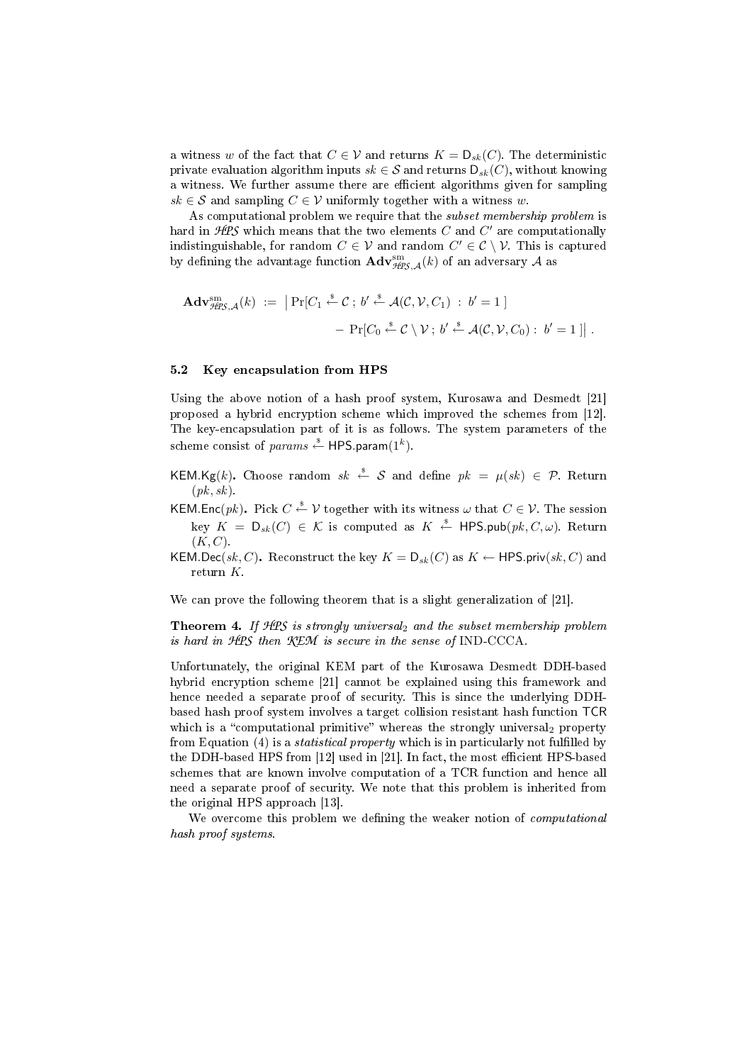a witness w of the fact that  $C \in \mathcal{V}$  and returns  $K = D_{sk}(C)$ . The deterministic private evaluation algorithm inputs  $sk \in \mathcal{S}$  and returns  $D_{sk}(C)$ , without knowing a witness. We further assume there are efficient algorithms given for sampling  $sk \in \mathcal{S}$  and sampling  $C \in \mathcal{V}$  uniformly together with a witness w.

As computational problem we require that the subset membership problem is hard in  $\mathcal{H}\!\mathcal{P}\!\mathcal{S}$  which means that the two elements  $C$  and  $C'$  are computationally indistinguishable, for random  $C \in \mathcal{V}$  and random  $C' \in \mathcal{C} \setminus \mathcal{V}$ . This is captured by defining the advantage function  $\mathbf{Adv}_{\mathscr{H}\!\mathscr{BS},\mathcal{A}}^{\mathrm{sm}}(k)$  of an adversary  $\mathcal A$  as

$$
\mathbf{Adv}_{\mathcal{HPS},\mathcal{A}}^{\text{sm}}(k) := \left| \Pr[C_1 \stackrel{\text{s}}{\leftarrow} \mathcal{C} \, ; \, b' \stackrel{\text{s}}{\leftarrow} \mathcal{A}(\mathcal{C}, \mathcal{V}, C_1) \, : \, b' = 1 \, \right] \right. \\ \left. - \Pr[C_0 \stackrel{\text{s}}{\leftarrow} \mathcal{C} \setminus \mathcal{V} \, ; \, b' \stackrel{\text{s}}{\leftarrow} \mathcal{A}(\mathcal{C}, \mathcal{V}, C_0) \, : \, b' = 1 \, \right] \right| \, .
$$

#### 5.2 Key encapsulation from HPS

Using the above notion of a hash proof system, Kurosawa and Desmedt [21] proposed a hybrid encryption scheme which improved the schemes from [12]. The key-encapsulation part of it is as follows. The system parameters of the scheme consist of  $params \stackrel{\hspace{0.1em}\mathsf{\scriptscriptstyle\$}}{\leftarrow} {\sf HPS.param}(1^k).$ 

- KEM.Kg(k). Choose random sk  $\stackrel{\$}{\leftarrow}$  S and define  $pk = \mu(sk) \in \mathcal{P}$ . Return  $(pk, sk).$
- KEM.Enc(pk). Pick  $C\stackrel{\hspace{0.1em}\mathsf{\scriptscriptstyle\$}}{\leftarrow} \mathcal{V}$  together with its witness  $\omega$  that  $C\in\mathcal{V}.$  The session  $\mathrm{key}\;\; K\;=\;\mathsf{D}_{sk}(C)\;\in\;\mathcal{K}\;\;\mathrm{is}\;\; \mathrm{computed}\;\; \mathrm{as}\;\; K\;\stackrel{\hspace{0.1em}\mathsf{\scriptscriptstyle\$}}{\leftarrow}\;\; \mathsf{HPS}\text{-}\mathsf{pub}(pk,C,\omega). \;\;\mathrm{Return}\;\; \nonumber$  $(K, C).$

KEM.Dec(sk, C). Reconstruct the key  $K = D_{sk}(C)$  as  $K \leftarrow \text{HPS}$ .priv(sk, C) and return K.

We can prove the following theorem that is a slight generalization of [21].

Theorem 4. If *HPS* is strongly universal<sub>2</sub> and the subset membership problem is hard in *HPS* then *KEM* is secure in the sense of IND-CCCA.

Unfortunately, the original KEM part of the Kurosawa Desmedt DDH-based hybrid encryption scheme [21] cannot be explained using this framework and hence needed a separate proof of security. This is since the underlying DDHbased hash proof system involves a target collision resistant hash function TCR which is a "computational primitive" whereas the strongly universal, property from Equation  $(4)$  is a *statistical property* which is in particularly not fulfilled by the DDH-based HPS from [12] used in [21]. In fact, the most efficient HPS-based schemes that are known involve computation of a TCR function and hence all need a separate proof of security. We note that this problem is inherited from the original HPS approach [13].

We overcome this problem we defining the weaker notion of *computational* hash proof systems.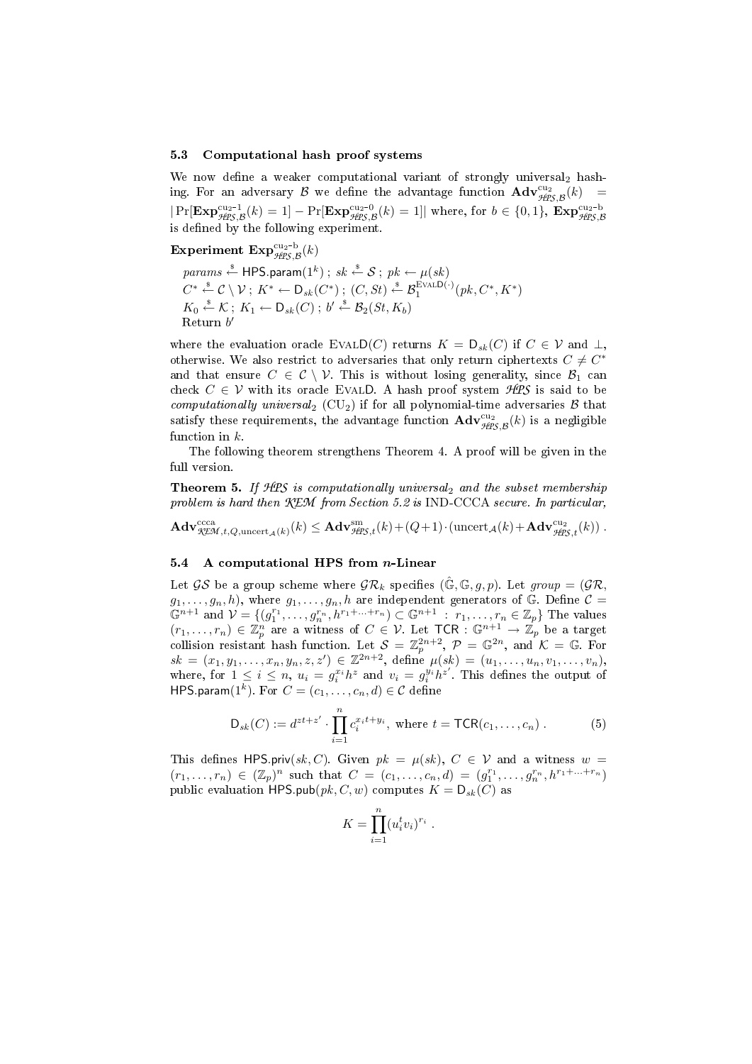#### 5.3 Computational hash proof systems

We now define a weaker computational variant of strongly universal, hashing. For an adversary B we define the advantage function  $\mathbf{Adv}_{\mathcal{HBS},\mathcal{B}}^{\text{cu}_2}(k)$  =  $|\Pr[\mathbf{Exp}_{\text{HPS},\mathcal{B}}^{\text{cu}_2-1}(k) = 1] - \Pr[\mathbf{Exp}_{\text{HPS},\mathcal{B}}^{\text{cu}_2-0}(k) = 1]|$  where, for  $b \in \{0,1\}$ ,  $\mathbf{Exp}_{\text{HPS},\mathcal{B}}^{\text{cu}_2-1}$ is defined by the following experiment.

Experiment  $\mathrm{Exp}_{\mathscr{H}\!\mathscr{B}, \mathscr{B}}^{\mathrm{cu}_2-b}(k)$ 

 $params \stackrel{\hspace{0.1em}\mathsf{\scriptscriptstyle\$}}{\leftarrow} {\sf HPS}.\mathsf{param}(1^k)~;~sk \stackrel{\hspace{0.1em}\mathsf{\scriptscriptstyle\$}}{\leftarrow} \mathcal{S}~;~pk \leftarrow \mu(sk)$  $C^* \stackrel{\hspace{0.1em}\mathsf{\scriptscriptstyle\$}}{\leftarrow} \mathcal{C} \setminus \mathcal{V} \: ; \: K^* \leftarrow \mathsf{D}_{sk}(C^*) \: ; \: (C, St) \stackrel{\hspace{0.1em}\mathsf{\scriptscriptstyle\$}}{\leftarrow} \mathcal{B}_1^{\mathsf{EVALD}(\cdot)}(pk, C^*, K^*)$  $K_0 \stackrel{\$}{\leftarrow} \mathcal{K}$ ;  $K_1 \leftarrow \mathsf{D}_{sk}(C)$ ;  $b' \stackrel{\$}{\leftarrow} \mathcal{B}_2(St, K_b)$  $Return b'$ 

where the evaluation oracle EVALD(C) returns  $K = D_{sk}(C)$  if  $C \in V$  and  $\perp$ , otherwise. We also restrict to adversaries that only return ciphertexts  $C \neq C^*$ and that ensure  $C \in \mathcal{C} \setminus \mathcal{V}$ . This is without losing generality, since  $\mathcal{B}_1$  can check  $C \in V$  with its oracle EVALD. A hash proof system  $HPS$  is said to be computationally universal<sub>2</sub> (CU<sub>2</sub>) if for all polynomial-time adversaries  $\beta$  that satisfy these requirements, the advantage function  $\mathbf{Adv}_{\mathscr{H}\!\mathit{PS},\mathcal{B}}^{\mathrm{cu}_2}(k)$  is a negligible function in  $k$ .

The following theorem strengthens Theorem 4. A proof will be given in the full version.

**Theorem 5.** If *HPS* is computationally universal<sub>2</sub> and the subset membership problem is hard then *KEM* from Section 5.2 is IND-CCCA secure. In particular,

 $\mathbf{Adv}_{\mathcal{H}\mathcal{B}\mathcal{M},t,Q,\text{uncert}_{\mathcal{A}}(k)}^{\text{ccca}}(k) \leq \mathbf{Adv}_{\mathcal{H}\mathcal{B}\mathcal{S},t}^{\text{sm}}(k) + (Q+1) \cdot (\text{uncert}_{\mathcal{A}}(k) + \mathbf{Adv}_{\mathcal{H}\mathcal{B}\mathcal{S},t}^{\text{cu}_2}(k))$ .

# 5.4 A computational HPS from  $n$ -Linear

Let GS be a group scheme where  $\mathcal{GR}_k$  specifies  $(\mathbb{G}, \mathbb{G}, q, p)$ . Let group  $= (\mathcal{GR}, \mathbb{G}, q, p)$ .  $(g_1, \ldots, g_n, h)$ , where  $g_1, \ldots, g_n, h$  are independent generators of G. Define  $\mathcal{C} =$  $\mathbb{G}^{n+1}$  and  $\mathcal{V} = \{(g_1^{r_1}, \ldots, g_n^{r_n}, h^{r_1 + \ldots + r_n}) \subset \mathbb{G}^{n+1} : r_1, \ldots, r_n \in \mathbb{Z}_p\}$  The values  $(r_1,\ldots,r_n)\in\mathbb{Z}_p^n$  are a witness of  $C\in\mathcal{V}$ . Let TCR :  $\mathbb{G}^{n+1}\to\mathbb{Z}_p$  be a target collision resistant hash function. Let  $S = \mathbb{Z}_p^{2n+2}$ ,  $\mathcal{P} = \mathbb{G}^{2n}$ , and  $\mathcal{K} = \mathbb{G}$ . For  $sk = (x_1, y_1, \ldots, x_n, y_n, z, z') \in \mathbb{Z}^{2n+2}$ , define  $\mu(sk) = (u_1, \ldots, u_n, v_1, \ldots, v_n)$ , where, for  $1 \leq i \leq n$ ,  $u_i = g_i^{x_i} h^z$  and  $v_i = g_i^{y_i} h^{z'}$ . This defines the output of HPS.param $(1^k)$ . For  $C = (c_1, \ldots, c_n, d) \in \mathcal{C}$  define

$$
D_{sk}(C) := d^{zt+z'} \cdot \prod_{i=1}^{n} c_i^{x_i t + y_i}, \text{ where } t = \textsf{TCR}(c_1, \dots, c_n).
$$
 (5)

This defines HPS.priv(sk, C). Given  $pk = \mu(sk)$ ,  $C \in V$  and a witness  $w =$  $(r_1, \ldots, r_n) \in (\mathbb{Z}_p)^n$  such that  $C = (c_1, \ldots, c_n, d) = (g_1^{r_1}, \ldots, g_n^{r_n}, h^{r_1 + \ldots + r_n})$ public evaluation HPS.pub $(pk, C, w)$  computes  $K = D_{sk}(C)$  as

$$
K = \prod_{i=1}^n (u_i^t v_i)^{r_i} .
$$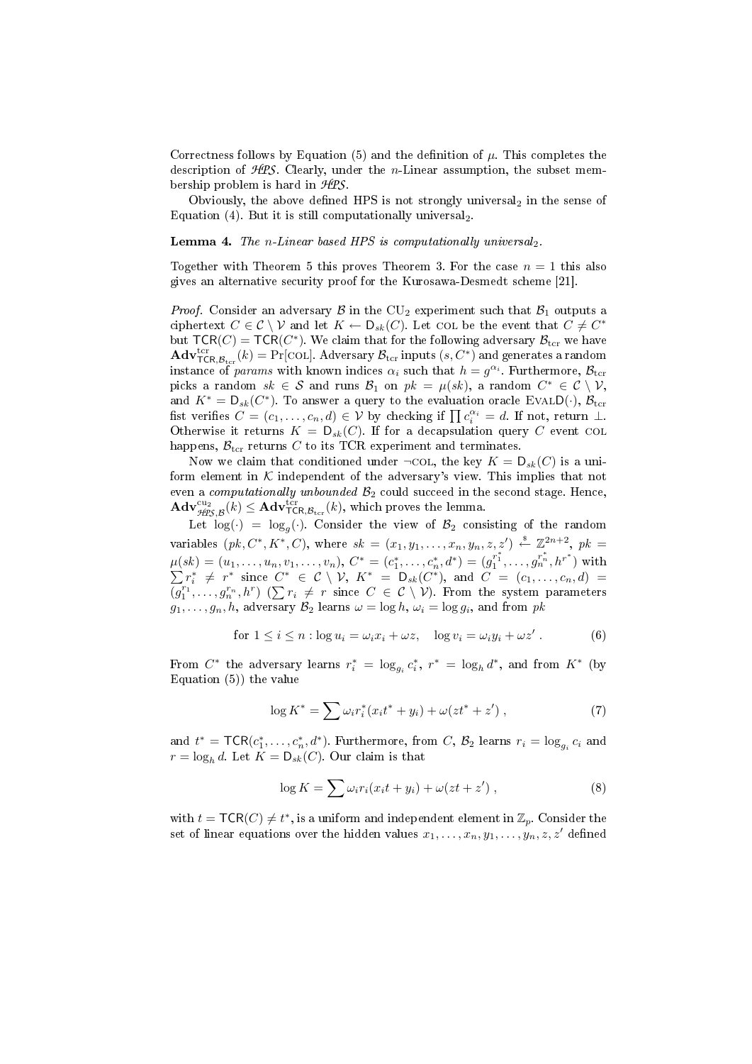Correctness follows by Equation (5) and the definition of  $\mu$ . This completes the description of *HPS*. Clearly, under the n-Linear assumption, the subset membership problem is hard in *HPS*.

Obviously, the above defined HPS is not strongly universal<sub>2</sub> in the sense of Equation  $(4)$ . But it is still computationally universal.

# **Lemma 4.** The *n*-Linear based HPS is computationally universal<sub>2</sub>.

Together with Theorem 5 this proves Theorem 3. For the case  $n = 1$  this also gives an alternative security proof for the Kurosawa-Desmedt scheme [21].

*Proof.* Consider an adversary  $\beta$  in the CU<sub>2</sub> experiment such that  $\beta_1$  outputs a ciphertext  $C \in \mathcal{C} \setminus \mathcal{V}$  and let  $K \leftarrow \mathsf{D}_{sk}(C)$ . Let COL be the event that  $C \neq C^*$ but  $\mathsf{TCR}(C) = \mathsf{TCR}(C^*)$ . We claim that for the following adversary  $\mathcal{B}_{\text{tor}}$  we have  $\mathbf{Adv}_{\mathsf{TCR}, \mathcal{B}_{\mathrm{ter}} }^{\mathrm{ter}}(k) = \Pr[\mathrm{COL}] . \ \text{Adversary $\mathcal{B}_{\mathrm{ter}}$ inputs $(s, C^*)$ and generates a random }$ instance of params with known indices  $\alpha_i$  such that  $h = g^{\alpha_i}$ . Furthermore,  $\mathcal{B}_{\text{tor}}$ picks a random  $sk \in S$  and runs  $\mathcal{B}_1$  on  $pk = \mu(sk)$ , a random  $C^* \in \mathcal{C} \setminus \mathcal{V}$ , and  $K^* = \mathsf{D}_{sk}(C^*)$ . To answer a query to the evaluation oracle EVALD( $\cdot$ ),  $\mathcal{B}_{\text{tor}}$ fist verifies  $C = (c_1, \ldots, c_n, d) \in \mathcal{V}$  by checking if  $\prod c_i^{\alpha_i} = d$ . If not, return  $\bot$ . Otherwise it returns  $K = D_{sk}(C)$ . If for a decapsulation query C event COL happens,  $\mathcal{B}_{\text{tor}}$  returns C to its TCR experiment and terminates.

Now we claim that conditioned under  $\neg \text{COL}$ , the key  $K = D_{sk}(C)$  is a uniform element in  $K$  independent of the adversary's view. This implies that not even a *computationally unbounded*  $\mathcal{B}_2$  could succeed in the second stage. Hence,  $\mathbf{Adv}_{\mathcal{H} \mathcal{BS}, \mathcal{B}}^{\mathrm{cu}_2}(k) \leq \mathbf{Adv}_{\mathsf{TCR}, \mathcal{B}_{\mathrm{ter}}}(k), \text{ which proves the lemma.}$ 

Let  $log(\cdot) = log<sub>g</sub>(\cdot)$ . Consider the view of  $B<sub>2</sub>$  consisting of the random variables  $(pk, C^*, K^*, C)$ , where  $sk = (x_1, y_1, \ldots, x_n, y_n, z, z') \stackrel{\text{s}}{\leftarrow} \mathbb{Z}^{2n+2}$ ,  $pk =$  $\mu(sk) = (u_1, \ldots, u_n, v_1, \ldots, v_n), C^* = (c_1^*, \ldots, c_n^*, d^*) = (g_1^{r_1^*}, \ldots, g_n^{r_n^*}, h^{r^*})$  $\sum$ ) with  $r_i^* \neq r^*$  since  $C^* \in C \setminus V$ ,  $K^* = D_{sk}(C^*)$ , and  $C = (c_1, \ldots, c_n, d) =$  $(\overline{g_1^{r_1}}, \ldots, g_n^{r_n}, h^r)$   $(\sum r_i \neq r$  since  $C \in \mathcal{C} \setminus \mathcal{V})$ . From the system parameters  $g_1,\ldots,g_n,h,$  adversary  $\mathcal{B}_2$  learns  $\omega=\log h,\,\omega_i=\log g_i,$  and from  $pk$ 

for 
$$
1 \leq i \leq n : \log u_i = \omega_i x_i + \omega z
$$
,  $\log v_i = \omega_i y_i + \omega z'$ . (6)

From  $C^*$  the adversary learns  $r_i^* = \log_{g_i} c_i^*$ ,  $r^* = \log_h d^*$ , and from  $K^*$  (by Equation (5)) the value

$$
\log K^* = \sum \omega_i r_i^* (x_i t^* + y_i) + \omega(zt^* + z') , \qquad (7)
$$

and  $t^* = \textsf{TCR}(c_1^*, \ldots, c_n^*, d^*)$ . Furthermore, from C,  $\mathcal{B}_2$  learns  $r_i = \log_{g_i} c_i$  and  $r = \log_h d$ . Let  $K = D_{sk}(C)$ . Our claim is that

$$
\log K = \sum \omega_i r_i (x_i t + y_i) + \omega(zt + z'), \qquad (8)
$$

with  $t = \mathsf{TCR}(C) \neq t^*$ , is a uniform and independent element in  $\mathbb{Z}_p$ . Consider the set of linear equations over the hidden values  $x_1, \ldots, x_n, y_1, \ldots, y_n, z, z'$  defined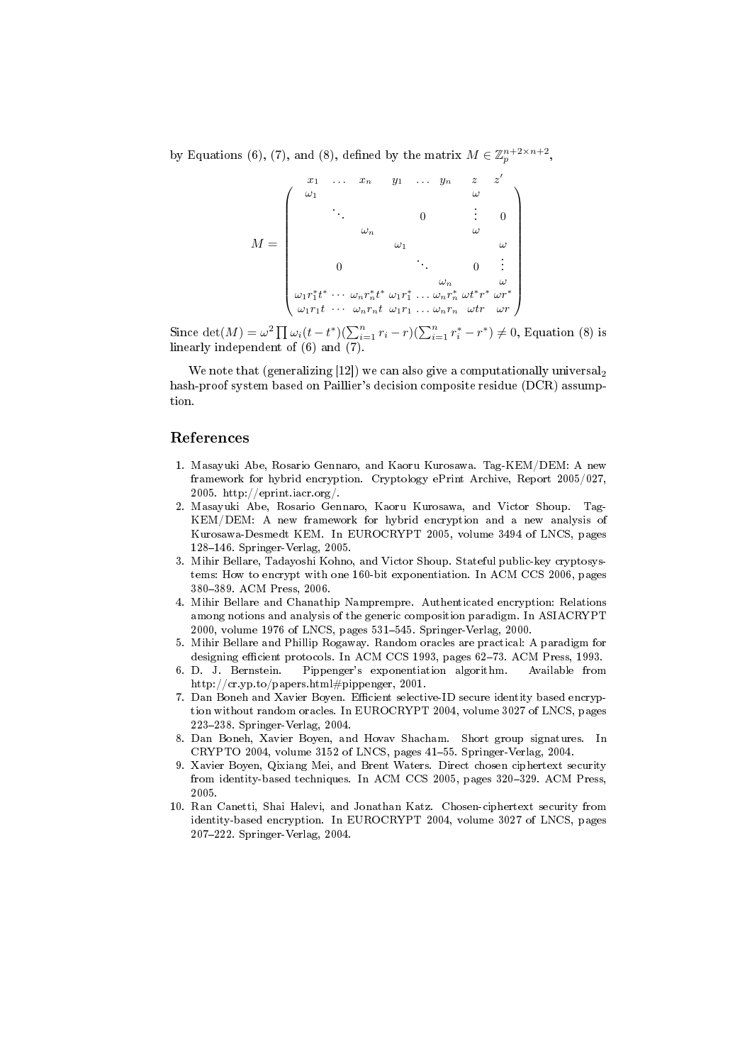by Equations (6), (7), and (8), defined by the matrix  $M \in \mathbb{Z}_p^{n+2 \times n+2}$ ,

$$
M = \begin{pmatrix} x_1 & \dots & x_n & y_1 & \dots & y_n & z & z' \\ \omega_1 & & & & & & \\ & \ddots & & & 0 & & \vdots & 0 \\ & & \omega_n & & & & \omega \\ & & & \omega_1 & & & \omega \\ & & & & & & \omega \\ 0 & & & & & & \omega_n \\ & & & & & & \omega_n \\ \omega_1 r_1^* t^* & \dots & \omega_n r_n^* t^* \omega_1 r_1^* \dots \omega_n r_n^* \omega t^* r^* \omega r^* \\ \omega_1 r_1 t & \dots & \omega_n r_n t \omega_1 r_1 \dots \omega_n r_n \omega t^* \omega r \end{pmatrix}
$$

Since  $\det(M) = \omega^2 \prod_{i=1}^n \omega_i (t - t^*)(\sum_{i=1}^n r_i - r)(\sum_{i=1}^n r_i^* - r^*) \neq 0$ , Equation (8) is linearly independent of (6) and (7).

We note that (generalizing [12]) we can also give a computationally universal<sub>2</sub> hash-proof system based on Paillier's decision composite residue (DCR) assumption.

## References

- 1. Masayuki Abe, Rosario Gennaro, and Kaoru Kurosawa. Tag-KEM/DEM: A new framework for hybrid encryption. Cryptology ePrint Archive, Report 2005/027, 2005. http://eprint.iacr.org/.
- 2. Masayuki Abe, Rosario Gennaro, Kaoru Kurosawa, and Victor Shoup. Tag-KEM/DEM: A new framework for hybrid encryption and a new analysis of Kurosawa-Desmedt KEM. In EUROCRYPT 2005, volume 3494 of LNCS, pages 128-146. Springer-Verlag, 2005.
- 3. Mihir Bellare, Tadayoshi Kohno, and Victor Shoup. Stateful public-key cryptosystems: How to encrypt with one 160-bit exponentiation. In ACM CCS 2006, pages 380-389. ACM Press, 2006.
- 4. Mihir Bellare and Chanathip Namprempre. Authenticated encryption: Relations among notions and analysis of the generic composition paradigm. In ASIACRYPT 2000, volume 1976 of LNCS, pages 531-545. Springer-Verlag, 2000.
- 5. Mihir Bellare and Phillip Rogaway. Random oracles are practical: A paradigm for designing efficient protocols. In ACM CCS 1993, pages 62-73. ACM Press, 1993.
- 6. D. J. Bernstein. Pippenger's exponentiation algorithm. Available from http://cr.yp.to/papers.html#pippenger, 2001.
- 7. Dan Boneh and Xavier Boyen. Efficient selective-ID secure identity based encryption without random oracles. In EUROCRYPT 2004, volume 3027 of LNCS, pages 223238. Springer-Verlag, 2004.
- 8. Dan Boneh, Xavier Boyen, and Hovav Shacham. Short group signatures. In CRYPTO 2004, volume 3152 of LNCS, pages 41-55. Springer-Verlag, 2004.
- 9. Xavier Boyen, Qixiang Mei, and Brent Waters. Direct chosen ciphertext security from identity-based techniques. In ACM CCS 2005, pages 320-329. ACM Press, 2005.
- 10. Ran Canetti, Shai Halevi, and Jonathan Katz. Chosen-ciphertext security from identity-based encryption. In EUROCRYPT 2004, volume 3027 of LNCS, pages 207222. Springer-Verlag, 2004.